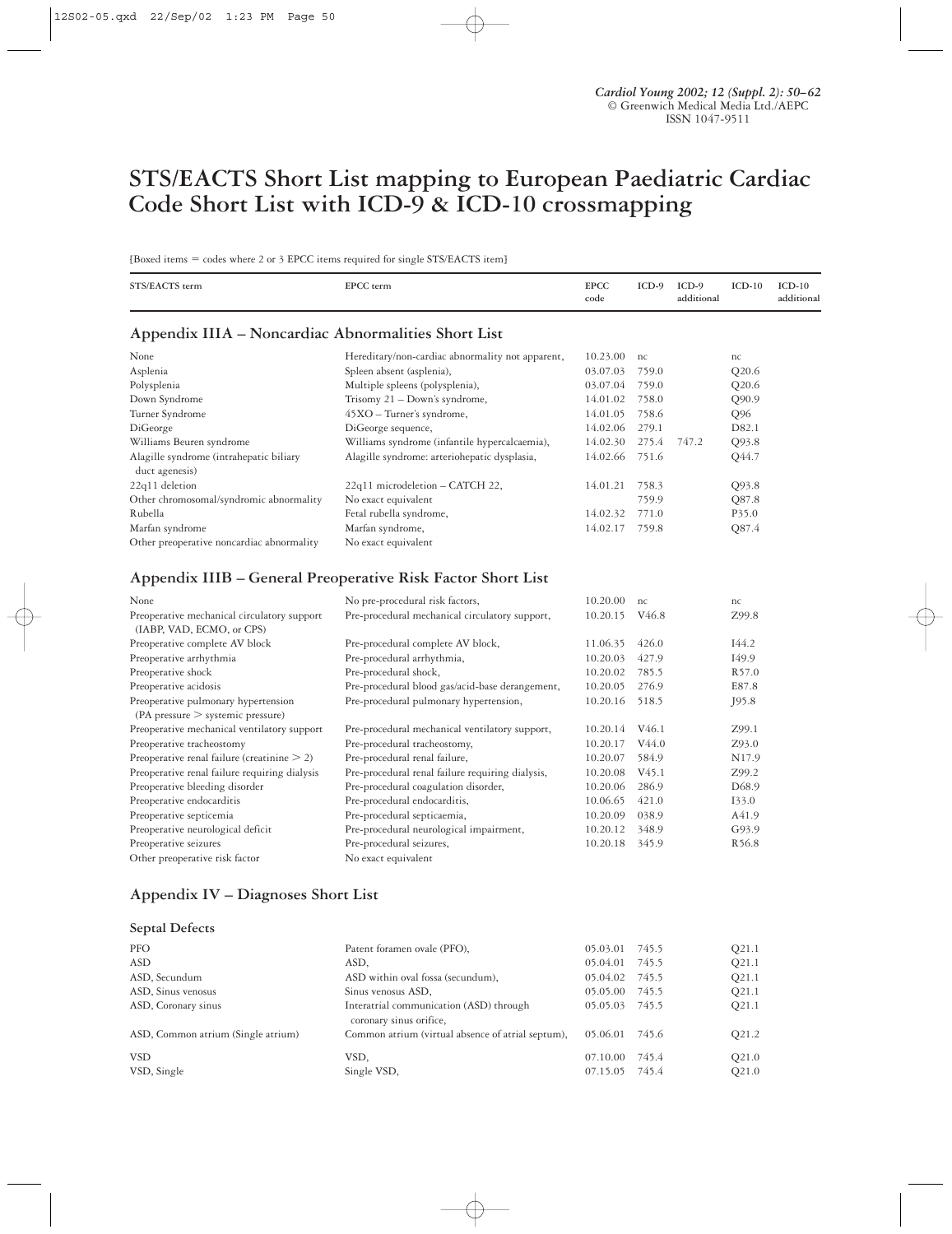# **STS/EACTS Short List mapping to European Paediatric Cardiac Code Short List with ICD-9 & ICD-10 crossmapping**

[Boxed items = codes where 2 or 3 EPCC items required for single STS/EACTS item]

| STS/EACTS term                                                           | EPCC term                                                   | <b>EPCC</b><br>code | $ICD-9$           | $ICD-9$<br>additional | $ICD-10$ | $ICD-10$<br>additional |
|--------------------------------------------------------------------------|-------------------------------------------------------------|---------------------|-------------------|-----------------------|----------|------------------------|
| Appendix IIIA – Noncardiac Abnormalities Short List                      |                                                             |                     |                   |                       |          |                        |
| None                                                                     | Hereditary/non-cardiac abnormality not apparent,            | 10.23.00            | nc                |                       | nc       |                        |
| Asplenia                                                                 | Spleen absent (asplenia),                                   | 03.07.03            | 759.0             |                       | Q20.6    |                        |
| Polysplenia                                                              | Multiple spleens (polysplenia),                             | 03.07.04            | 759.0             |                       | Q20.6    |                        |
| Down Syndrome                                                            | Trisomy $21 - Down's syndrome$ ,                            | 14.01.02            | 758.0             |                       | Q90.9    |                        |
| Turner Syndrome                                                          | $45XO$ – Turner's syndrome,                                 | 14.01.05            | 758.6             |                       | Q96      |                        |
| DiGeorge                                                                 | DiGeorge sequence,                                          | 14.02.06            | 279.1             |                       | D82.1    |                        |
| Williams Beuren syndrome                                                 | Williams syndrome (infantile hypercalcaemia),               | 14.02.30            | 275.4             | 747.2                 | Q93.8    |                        |
| Alagille syndrome (intrahepatic biliary<br>duct agenesis)                | Alagille syndrome: arteriohepatic dysplasia,                | 14.02.66            | 751.6             |                       | Q44.7    |                        |
| 22q11 deletion                                                           | 22q11 microdeletion - CATCH 22,                             | 14.01.21            | 758.3             |                       | Q93.8    |                        |
| Other chromosomal/syndromic abnormality                                  | No exact equivalent                                         |                     | 759.9             |                       | Q87.8    |                        |
| Rubella                                                                  | Fetal rubella syndrome,                                     | 14.02.32            | 771.0             |                       | P35.0    |                        |
| Marfan syndrome                                                          | Marfan syndrome,                                            | 14.02.17            | 759.8             |                       | Q87.4    |                        |
| Other preoperative noncardiac abnormality                                | No exact equivalent                                         |                     |                   |                       |          |                        |
|                                                                          | Appendix IIIB - General Preoperative Risk Factor Short List |                     |                   |                       |          |                        |
| None                                                                     | No pre-procedural risk factors,                             | 10.20.00            | nc                |                       | nc       |                        |
| Preoperative mechanical circulatory support<br>(IABP, VAD, ECMO, or CPS) | Pre-procedural mechanical circulatory support,              | 10.20.15            | V <sub>46.8</sub> |                       | Z99.8    |                        |
| <b>Dreaperative complete AV block</b>                                    | Dre procedurel complete AV block                            | 11.06.35 $(10.60)$  |                   |                       | $TAA$ 2  |                        |

| Preoperative complete AV block                 | Pre-procedural complete AV block,                | 11.06.35 | 426.0             | I44.2             |
|------------------------------------------------|--------------------------------------------------|----------|-------------------|-------------------|
| Preoperative arrhythmia                        | Pre-procedural arrhythmia,                       | 10.20.03 | 427.9             | I49.9             |
| Preoperative shock                             | Pre-procedural shock,                            | 10.20.02 | 785.5             | R <sub>57.0</sub> |
| Preoperative acidosis                          | Pre-procedural blood gas/acid-base derangement,  | 10.20.05 | 276.9             | E87.8             |
| Preoperative pulmonary hypertension            | Pre-procedural pulmonary hypertension,           | 10.20.16 | 518.5             | J95.8             |
| (PA pressure > systemic pressure)              |                                                  |          |                   |                   |
| Preoperative mechanical ventilatory support    | Pre-procedural mechanical ventilatory support,   | 10.20.14 | V <sub>46.1</sub> | Z99.1             |
| Preoperative tracheostomy                      | Pre-procedural tracheostomy,                     | 10.20.17 | V44.0             | Z93.0             |
| Preoperative renal failure (creatinine $> 2$ ) | Pre-procedural renal failure,                    | 10.20.07 | 584.9             | N <sub>17.9</sub> |
| Preoperative renal failure requiring dialysis  | Pre-procedural renal failure requiring dialysis, | 10.20.08 | V <sub>45.1</sub> | Z99.2             |
| Preoperative bleeding disorder                 | Pre-procedural coagulation disorder,             | 10.20.06 | 286.9             | D <sub>68.9</sub> |
| Preoperative endocarditis                      | Pre-procedural endocarditis,                     | 10.06.65 | 421.0             | 133.0             |
| Preoperative septicemia                        | Pre-procedural septicaemia,                      | 10.20.09 | 038.9             | A41.9             |
| Preoperative neurological deficit              | Pre-procedural neurological impairment,          | 10.20.12 | 348.9             | G93.9             |
| Preoperative seizures                          | Pre-procedural seizures,                         | 10.20.18 | 345.9             | R <sub>56.8</sub> |
| Other preoperative risk factor                 | No exact equivalent                              |          |                   |                   |

### **Appendix IV – Diagnoses Short List**

### **Septal Defects**

| PFO                                | Patent foramen ovale (PFO),                                        | 05.03.01             | 745.5          | O <sub>21.1</sub>          |
|------------------------------------|--------------------------------------------------------------------|----------------------|----------------|----------------------------|
| ASD                                | ASD.                                                               | 05.04.01             | 745.5          | O <sub>21.1</sub>          |
| ASD, Secundum                      | ASD within oval fossa (secundum),                                  | 05.04.02             | 745.5          | O <sub>21.1</sub>          |
| ASD, Sinus venosus                 | Sinus venosus ASD,                                                 | 05.05.00             | 745.5          | O <sub>21.1</sub>          |
| ASD, Coronary sinus                | Interatrial communication (ASD) through<br>coronary sinus orifice, | 05.05.03             | 745.5          | O <sub>21.1</sub>          |
| ASD, Common atrium (Single atrium) | Common atrium (virtual absence of atrial septum),                  | 05.06.01             | 745.6          | O <sub>21.2</sub>          |
| VSD<br>VSD, Single                 | VSD.<br>Single VSD,                                                | 07.10.00<br>07.15.05 | 745.4<br>745.4 | O <sub>21.0</sub><br>Q21.0 |
|                                    |                                                                    |                      |                |                            |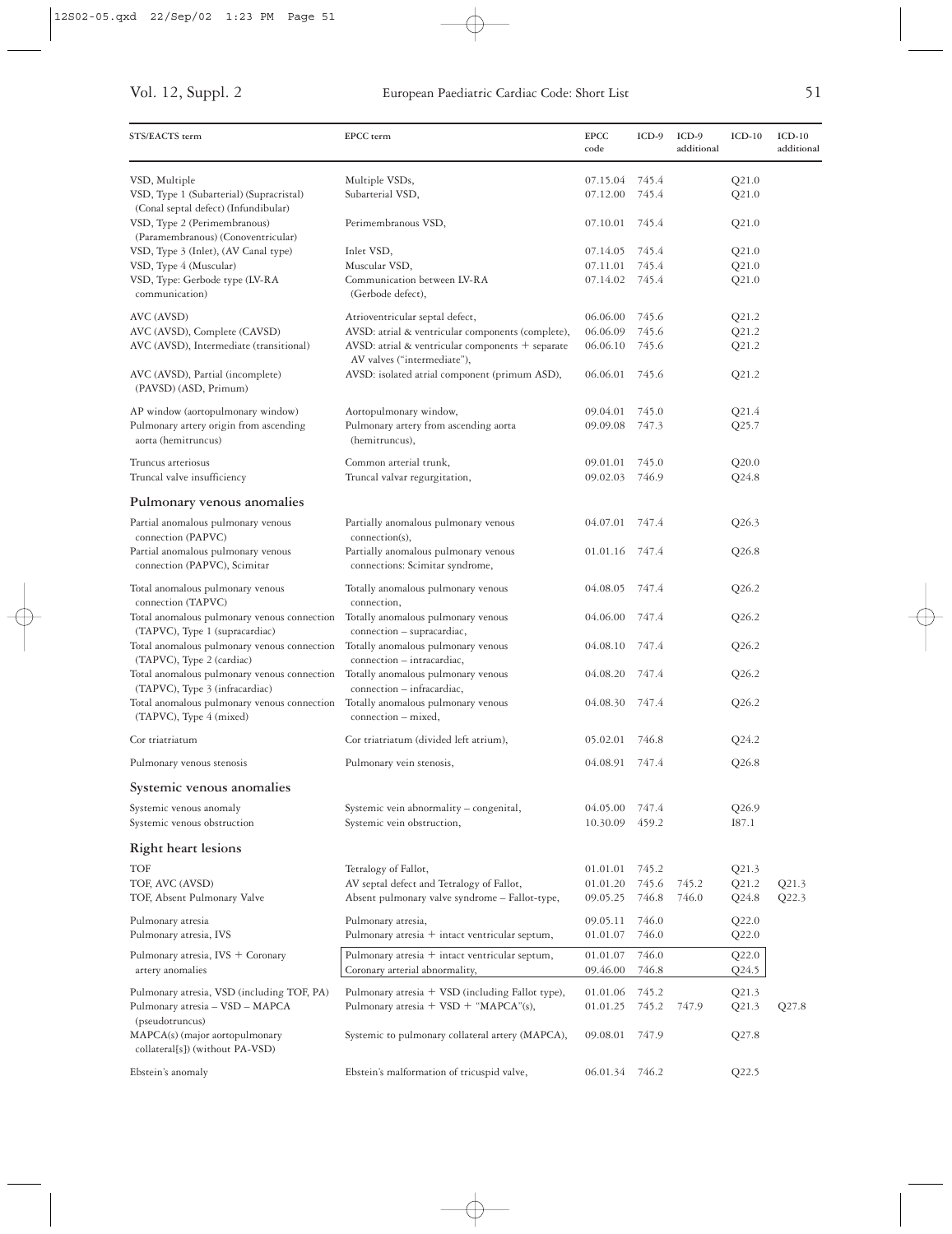| STS/EACTS term                                                                                           | EPCC term                                                                                   | <b>EPCC</b><br>code  | $ICD-9$        | ICD-9<br>additional | $ICD-10$       | $ICD-10$<br>additional |
|----------------------------------------------------------------------------------------------------------|---------------------------------------------------------------------------------------------|----------------------|----------------|---------------------|----------------|------------------------|
| VSD, Multiple<br>VSD, Type 1 (Subarterial) (Supracristal)<br>(Conal septal defect) (Infundibular)        | Multiple VSDs,<br>Subarterial VSD,                                                          | 07.15.04<br>07.12.00 | 745.4<br>745.4 |                     | Q21.0<br>Q21.0 |                        |
| VSD, Type 2 (Perimembranous)<br>(Paramembranous) (Conoventricular)                                       | Perimembranous VSD,                                                                         | 07.10.01             | 745.4          |                     | Q21.0          |                        |
| VSD, Type 3 (Inlet), (AV Canal type)                                                                     | Inlet VSD,                                                                                  | 07.14.05             | 745.4          |                     | Q21.0          |                        |
| VSD, Type 4 (Muscular)                                                                                   | Muscular VSD,                                                                               | 07.11.01             | 745.4          |                     | Q21.0          |                        |
| VSD, Type: Gerbode type (LV-RA<br>communication)                                                         | Communication between LV-RA<br>(Gerbode defect),                                            | 07.14.02             | 745.4          |                     | Q21.0          |                        |
| AVC (AVSD)                                                                                               | Atrioventricular septal defect,                                                             | 06.06.00             | 745.6          |                     | Q21.2          |                        |
| AVC (AVSD), Complete (CAVSD)                                                                             | AVSD: atrial & ventricular components (complete),                                           | 06.06.09             | 745.6          |                     | Q21.2          |                        |
| AVC (AVSD), Intermediate (transitional)                                                                  | AVSD: atrial & ventricular components + separate<br>AV valves ("intermediate"),             | 06.06.10             | 745.6          |                     | Q21.2          |                        |
| AVC (AVSD), Partial (incomplete)<br>(PAVSD) (ASD, Primum)                                                | AVSD: isolated atrial component (primum ASD),                                               | 06.06.01             | 745.6          |                     | Q21.2          |                        |
| AP window (aortopulmonary window)                                                                        | Aortopulmonary window,                                                                      | 09.04.01             | 745.0          |                     | Q21.4          |                        |
| Pulmonary artery origin from ascending<br>aorta (hemitruncus)                                            | Pulmonary artery from ascending aorta<br>(hemitruncus),                                     | 09.09.08             | 747.3          |                     | Q25.7          |                        |
| Truncus arteriosus                                                                                       | Common arterial trunk,                                                                      | 09.01.01             | 745.0          |                     | Q20.0          |                        |
| Truncal valve insufficiency                                                                              | Truncal valvar regurgitation,                                                               | 09.02.03             | 746.9          |                     | $Q$ 24.8       |                        |
| Pulmonary venous anomalies                                                                               |                                                                                             |                      |                |                     |                |                        |
| Partial anomalous pulmonary venous<br>connection (PAPVC)                                                 | Partially anomalous pulmonary venous<br>connection(s),                                      | 04.07.01             | 747.4          |                     | Q26.3          |                        |
| Partial anomalous pulmonary venous<br>connection (PAPVC), Scimitar                                       | Partially anomalous pulmonary venous<br>connections: Scimitar syndrome,                     | 01.01.16             | 747.4          |                     | Q26.8          |                        |
| Total anomalous pulmonary venous<br>connection (TAPVC)                                                   | Totally anomalous pulmonary venous<br>connection,                                           | 04.08.05             | 747.4          |                     | Q26.2          |                        |
| Total anomalous pulmonary venous connection<br>(TAPVC), Type 1 (supracardiac)                            | Totally anomalous pulmonary venous<br>connection - supracardiac,                            | 04.06.00             | 747.4          |                     | Q26.2          |                        |
| Total anomalous pulmonary venous connection<br>(TAPVC), Type 2 (cardiac)                                 | Totally anomalous pulmonary venous<br>connection - intracardiac,                            | 04.08.10             | 747.4          |                     | Q26.2          |                        |
| Total anomalous pulmonary venous connection                                                              | Totally anomalous pulmonary venous                                                          | 04.08.20             | 747.4          |                     | Q26.2          |                        |
| (TAPVC), Type 3 (infracardiac)<br>Total anomalous pulmonary venous connection<br>(TAPVC), Type 4 (mixed) | connection - infracardiac,<br>Totally anomalous pulmonary venous<br>connection – mixed,     | 04.08.30             | 747.4          |                     | Q26.2          |                        |
| Cor triatriatum                                                                                          | Cor triatriatum (divided left atrium),                                                      | 05.02.01             | 746.8          |                     | Q24.2          |                        |
| Pulmonary venous stenosis                                                                                | Pulmonary vein stenosis,                                                                    | 04.08.91 747.4       |                |                     | Q26.8          |                        |
| Systemic venous anomalies                                                                                |                                                                                             |                      |                |                     |                |                        |
| Systemic venous anomaly<br>Systemic venous obstruction                                                   | Systemic vein abnormality - congenital,<br>Systemic vein obstruction,                       | 04.05.00<br>10.30.09 | 747.4<br>459.2 |                     | Q26.9<br>I87.1 |                        |
| <b>Right heart lesions</b>                                                                               |                                                                                             |                      |                |                     |                |                        |
| TOF                                                                                                      | Tetralogy of Fallot,                                                                        | 01.01.01             | 745.2          |                     | Q21.3          |                        |
| TOF, AVC (AVSD)<br>TOF, Absent Pulmonary Valve                                                           | AV septal defect and Tetralogy of Fallot,<br>Absent pulmonary valve syndrome - Fallot-type, | 01.01.20<br>09.05.25 | 745.6<br>746.8 | 745.2<br>746.0      | Q21.2<br>Q24.8 | Q21.3<br>Q22.3         |
| Pulmonary atresia                                                                                        | Pulmonary atresia,                                                                          | 09.05.11             | 746.0          |                     | Q22.0          |                        |
| Pulmonary atresia, IVS                                                                                   | Pulmonary atresia $+$ intact ventricular septum,                                            | 01.01.07             | 746.0          |                     | Q22.0          |                        |
| Pulmonary atresia, IVS + Coronary<br>artery anomalies                                                    | Pulmonary atresia $+$ intact ventricular septum,<br>Coronary arterial abnormality,          | 01.01.07<br>09.46.00 | 746.0<br>746.8 |                     | Q22.0<br>Q24.5 |                        |
| Pulmonary atresia, VSD (including TOF, PA)                                                               | Pulmonary atresia + VSD (including Fallot type),                                            | 01.01.06             | 745.2          |                     | Q21.3          |                        |
| Pulmonary atresia - VSD - MAPCA                                                                          | Pulmonary atresia $+$ VSD $+$ "MAPCA"(s),                                                   | 01.01.25             | 745.2          | 747.9               | Q21.3          | Q27.8                  |
| (pseudotruncus)<br>MAPCA(s) (major aortopulmonary<br>collateral[s]) (without PA-VSD)                     | Systemic to pulmonary collateral artery (MAPCA),                                            | 09.08.01             | 747.9          |                     | Q27.8          |                        |
| Ebstein's anomaly                                                                                        | Ebstein's malformation of tricuspid valve,                                                  | 06.01.34 746.2       |                |                     | Q22.5          |                        |

 $\bigoplus$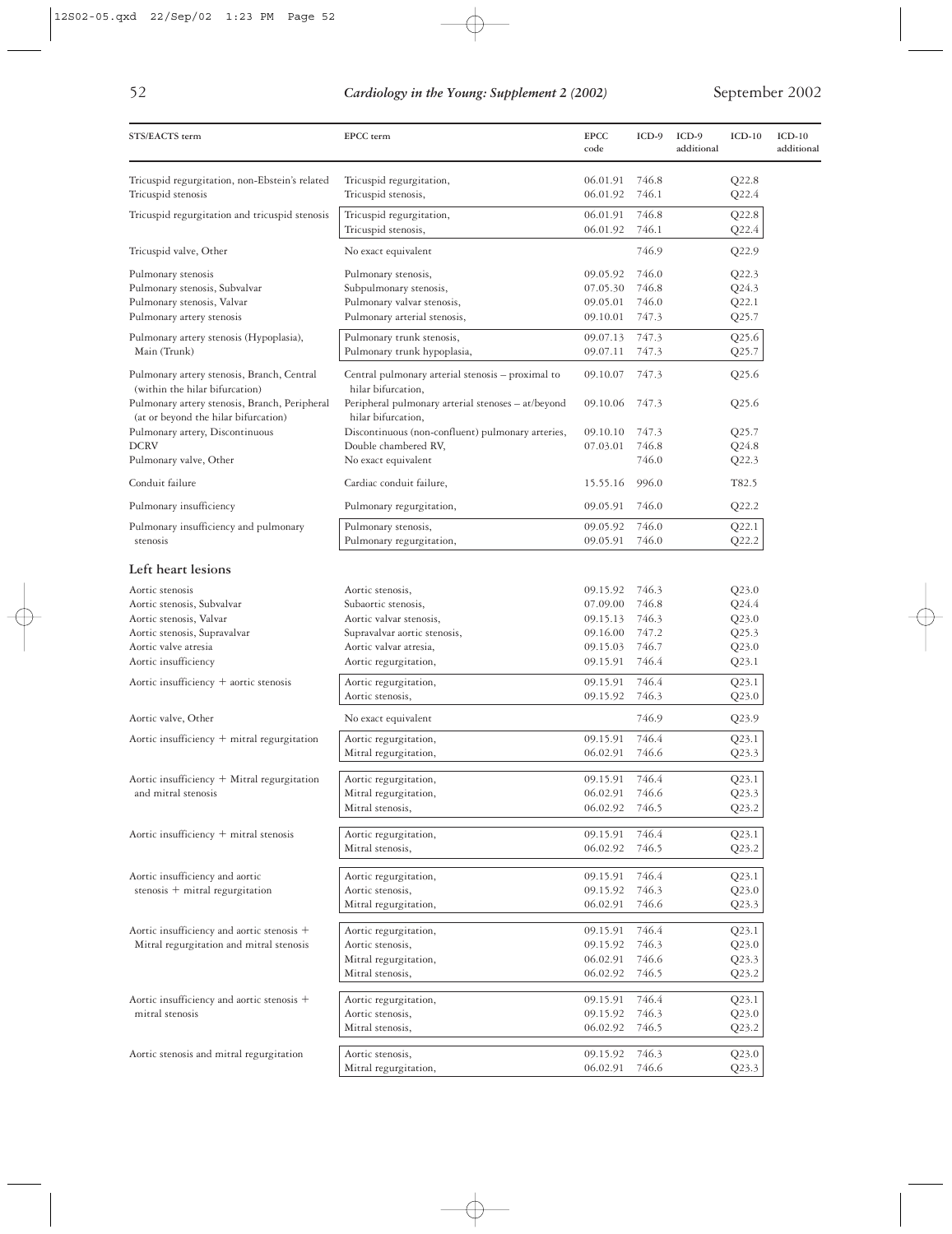|                    | ۰ |
|--------------------|---|
| ×<br>×.            |   |
| I<br>۰.<br>۰,<br>٧ |   |

| STS/EACTS term                                                                        | EPCC term                                                                | <b>EPCC</b><br>code  | $ICD-9$        | $ICD-9$<br>additional | $ICD-10$       | $ICD-10$<br>additional |
|---------------------------------------------------------------------------------------|--------------------------------------------------------------------------|----------------------|----------------|-----------------------|----------------|------------------------|
| Tricuspid regurgitation, non-Ebstein's related                                        | Tricuspid regurgitation,                                                 | 06.01.91             | 746.8          |                       | Q22.8          |                        |
| Tricuspid stenosis                                                                    | Tricuspid stenosis,                                                      | 06.01.92             | 746.1          |                       | Q22.4          |                        |
| Tricuspid regurgitation and tricuspid stenosis                                        | Tricuspid regurgitation,<br>Tricuspid stenosis,                          | 06.01.91<br>06.01.92 | 746.8<br>746.1 |                       | Q22.8<br>Q22.4 |                        |
| Tricuspid valve, Other                                                                | No exact equivalent                                                      |                      | 746.9          |                       | Q22.9          |                        |
| Pulmonary stenosis                                                                    | Pulmonary stenosis,                                                      | 09.05.92             | 746.0          |                       | Q22.3          |                        |
| Pulmonary stenosis, Subvalvar                                                         | Subpulmonary stenosis,                                                   | 07.05.30             | 746.8          |                       | Q24.3          |                        |
| Pulmonary stenosis, Valvar                                                            | Pulmonary valvar stenosis,                                               | 09.05.01             | 746.0          |                       | Q22.1          |                        |
| Pulmonary artery stenosis                                                             | Pulmonary arterial stenosis,                                             | 09.10.01             | 747.3          |                       | Q25.7          |                        |
| Pulmonary artery stenosis (Hypoplasia),<br>Main (Trunk)                               | Pulmonary trunk stenosis,<br>Pulmonary trunk hypoplasia,                 | 09.07.13<br>09.07.11 | 747.3<br>747.3 |                       | Q25.6          |                        |
|                                                                                       |                                                                          |                      |                |                       | Q25.7          |                        |
| Pulmonary artery stenosis, Branch, Central<br>(within the hilar bifurcation)          | Central pulmonary arterial stenosis - proximal to<br>hilar bifurcation,  | 09.10.07             | 747.3          |                       | Q25.6          |                        |
| Pulmonary artery stenosis, Branch, Peripheral<br>(at or beyond the hilar bifurcation) | Peripheral pulmonary arterial stenoses - at/beyond<br>hilar bifurcation, | 09.10.06             | 747.3          |                       | Q25.6          |                        |
| Pulmonary artery, Discontinuous                                                       | Discontinuous (non-confluent) pulmonary arteries,                        | 09.10.10             | 747.3          |                       | Q25.7          |                        |
| <b>DCRV</b>                                                                           | Double chambered RV,                                                     | 07.03.01             | 746.8          |                       | Q24.8          |                        |
| Pulmonary valve, Other                                                                | No exact equivalent                                                      |                      | 746.0          |                       | Q22.3          |                        |
| Conduit failure                                                                       | Cardiac conduit failure,                                                 | 15.55.16             | 996.0          |                       | T82.5          |                        |
| Pulmonary insufficiency                                                               | Pulmonary regurgitation,                                                 | 09.05.91             | 746.0          |                       | Q22.2          |                        |
| Pulmonary insufficiency and pulmonary                                                 | Pulmonary stenosis,                                                      | 09.05.92             | 746.0          |                       | Q22.1          |                        |
| stenosis                                                                              | Pulmonary regurgitation,                                                 | 09.05.91             | 746.0          |                       | Q22.2          |                        |
| Left heart lesions                                                                    |                                                                          |                      |                |                       |                |                        |
| Aortic stenosis                                                                       | Aortic stenosis,                                                         | 09.15.92             | 746.3          |                       | Q23.0          |                        |
| Aortic stenosis, Subvalvar                                                            | Subaortic stenosis,                                                      | 07.09.00             | 746.8          |                       | Q24.4          |                        |
| Aortic stenosis, Valvar                                                               | Aortic valvar stenosis,                                                  | 09.15.13             | 746.3          |                       | Q23.0          |                        |
| Aortic stenosis, Supravalvar                                                          | Supravalvar aortic stenosis,                                             | 09.16.00             | 747.2          |                       | Q25.3          |                        |
| Aortic valve atresia                                                                  | Aortic valvar atresia,                                                   | 09.15.03             | 746.7          |                       | Q23.0          |                        |
| Aortic insufficiency                                                                  | Aortic regurgitation,                                                    | 09.15.91             | 746.4          |                       | Q23.1          |                        |
| Aortic insufficiency $+$ aortic stenosis                                              | Aortic regurgitation,                                                    | 09.15.91             | 746.4          |                       | Q23.1          |                        |
|                                                                                       | Aortic stenosis,                                                         | 09.15.92             | 746.3          |                       | Q23.0          |                        |
| Aortic valve, Other                                                                   | No exact equivalent                                                      |                      | 746.9          |                       | Q23.9          |                        |
| Aortic insufficiency + mitral regurgitation                                           | Aortic regurgitation,                                                    | 09.15.91             | 746.4          |                       | Q23.1          |                        |
|                                                                                       | Mitral regurgitation,                                                    | 06.02.91             | 746.6          |                       | Q23.3          |                        |
|                                                                                       |                                                                          |                      |                |                       |                |                        |
| Aortic insufficiency + Mitral regurgitation                                           | Aortic regurgitation,                                                    | 09.15.91             | 746.4          |                       | Q23.1          |                        |
| and mitral stenosis                                                                   | Mitral regurgitation,                                                    | 06.02.91             | 746.6          |                       | Q23.3          |                        |
|                                                                                       | Mitral stenosis,                                                         | 06.02.92             | 746.5          |                       | Q23.2          |                        |
| Aortic insufficiency + mitral stenosis                                                | Aortic regurgitation,                                                    | 09.15.91             | 746.4          |                       | Q23.1          |                        |
|                                                                                       | Mitral stenosis,                                                         | 06.02.92             | 746.5          |                       | Q23.2          |                        |
| Aortic insufficiency and aortic                                                       | Aortic regurgitation,                                                    | 09.15.91             | 746.4          |                       | Q23.1          |                        |
| stenosis $+$ mitral regurgitation                                                     | Aortic stenosis,                                                         | 09.15.92             | 746.3          |                       | Q23.0          |                        |
|                                                                                       | Mitral regurgitation,                                                    | 06.02.91             | 746.6          |                       | Q23.3          |                        |
|                                                                                       |                                                                          |                      |                |                       |                |                        |
| Aortic insufficiency and aortic stenosis +                                            | Aortic regurgitation,                                                    | 09.15.91             | 746.4          |                       | Q23.1          |                        |
| Mitral regurgitation and mitral stenosis                                              | Aortic stenosis,                                                         | 09.15.92             | 746.3          |                       | Q23.0          |                        |
|                                                                                       | Mitral regurgitation,                                                    | 06.02.91             | 746.6          |                       | Q23.3          |                        |
|                                                                                       | Mitral stenosis,                                                         | 06.02.92             | 746.5          |                       | Q23.2          |                        |
| Aortic insufficiency and aortic stenosis +                                            | Aortic regurgitation,                                                    | 09.15.91             | 746.4          |                       | Q23.1          |                        |
| mitral stenosis                                                                       | Aortic stenosis,                                                         | 09.15.92             | 746.3          |                       | Q23.0          |                        |
|                                                                                       | Mitral stenosis,                                                         | 06.02.92             | 746.5          |                       | Q23.2          |                        |
| Aortic stenosis and mitral regurgitation                                              | Aortic stenosis,                                                         | 09.15.92             | 746.3          |                       | Q23.0          |                        |
|                                                                                       | Mitral regurgitation,                                                    | 06.02.91             | 746.6          |                       | Q23.3          |                        |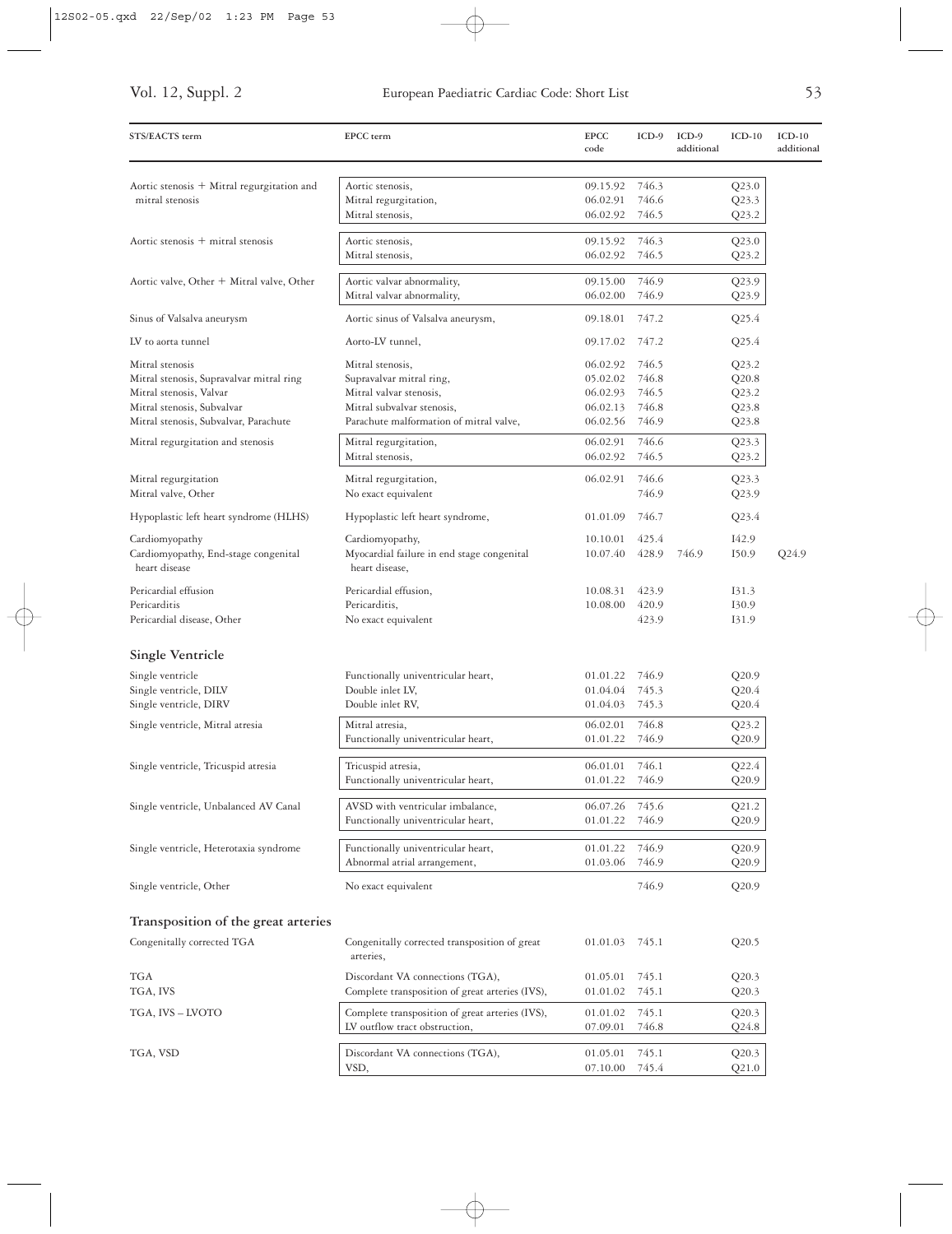| STS/EACTS term                                                | EPCC term                                                    | <b>EPCC</b><br>code | $ICD-9$        | $ICD-9$<br>additional | $ICD-10$       | $ICD-10$<br>additional |
|---------------------------------------------------------------|--------------------------------------------------------------|---------------------|----------------|-----------------------|----------------|------------------------|
|                                                               |                                                              | 09.15.92            | 746.3          |                       |                |                        |
| Aortic stenosis + Mitral regurgitation and<br>mitral stenosis | Aortic stenosis,<br>Mitral regurgitation,                    | 06.02.91            | 746.6          |                       | Q23.0<br>Q23.3 |                        |
|                                                               | Mitral stenosis,                                             | 06.02.92            | 746.5          |                       | Q23.2          |                        |
| Aortic stenosis + mitral stenosis                             | Aortic stenosis,                                             | 09.15.92            | 746.3          |                       | Q23.0          |                        |
|                                                               | Mitral stenosis,                                             | 06.02.92            | 746.5          |                       | Q23.2          |                        |
| Aortic valve, Other + Mitral valve, Other                     | Aortic valvar abnormality,                                   | 09.15.00            | 746.9          |                       | Q23.9          |                        |
|                                                               | Mitral valvar abnormality,                                   | 06.02.00            | 746.9          |                       | Q23.9          |                        |
| Sinus of Valsalva aneurysm                                    | Aortic sinus of Valsalva aneurysm,                           | 09.18.01            | 747.2          |                       | Q25.4          |                        |
| LV to aorta tunnel                                            | Aorto-LV tunnel,                                             | 09.17.02            | 747.2          |                       | Q25.4          |                        |
| Mitral stenosis                                               | Mitral stenosis,                                             | 06.02.92            | 746.5          |                       | Q23.2          |                        |
| Mitral stenosis, Supravalvar mitral ring                      | Supravalvar mitral ring,                                     | 05.02.02            | 746.8          |                       | Q20.8          |                        |
| Mitral stenosis, Valvar                                       | Mitral valvar stenosis,                                      | 06.02.93            | 746.5          |                       | Q23.2          |                        |
| Mitral stenosis, Subvalvar                                    | Mitral subvalvar stenosis,                                   | 06.02.13            | 746.8          |                       | Q23.8          |                        |
| Mitral stenosis, Subvalvar, Parachute                         | Parachute malformation of mitral valve,                      | 06.02.56            | 746.9          |                       | Q23.8          |                        |
| Mitral regurgitation and stenosis                             | Mitral regurgitation,                                        | 06.02.91            | 746.6          |                       | Q23.3          |                        |
|                                                               | Mitral stenosis,                                             | 06.02.92            | 746.5          |                       | Q23.2          |                        |
| Mitral regurgitation<br>Mitral valve, Other                   | Mitral regurgitation,<br>No exact equivalent                 | 06.02.91            | 746.6<br>746.9 |                       | Q23.3<br>Q23.9 |                        |
| Hypoplastic left heart syndrome (HLHS)                        | Hypoplastic left heart syndrome,                             | 01.01.09            | 746.7          |                       | Q23.4          |                        |
| Cardiomyopathy                                                | Cardiomyopathy,                                              | 10.10.01            | 425.4          |                       | I42.9          |                        |
| Cardiomyopathy, End-stage congenital<br>heart disease         | Myocardial failure in end stage congenital<br>heart disease, | 10.07.40            | 428.9          | 746.9                 | I50.9          | Q24.9                  |
| Pericardial effusion                                          | Pericardial effusion,                                        | 10.08.31            | 423.9          |                       | 131.3          |                        |
| Pericarditis                                                  | Pericarditis,                                                | 10.08.00            | 420.9          |                       | 130.9          |                        |
| Pericardial disease, Other                                    | No exact equivalent                                          |                     | 423.9          |                       | I31.9          |                        |
| <b>Single Ventricle</b>                                       |                                                              |                     |                |                       |                |                        |
| Single ventricle                                              | Functionally univentricular heart,                           | 01.01.22            | 746.9          |                       | Q20.9          |                        |
| Single ventricle, DILV                                        | Double inlet LV,                                             | 01.04.04            | 745.3          |                       | Q20.4          |                        |
| Single ventricle, DIRV                                        | Double inlet RV,                                             | 01.04.03            | 745.3          |                       | Q20.4          |                        |
| Single ventricle, Mitral atresia                              | Mitral atresia,                                              | 06.02.01            | 746.8          |                       | Q23.2          |                        |
|                                                               | Functionally univentricular heart,                           | 01.01.22            | 746.9          |                       | Q20.9          |                        |
| Single ventricle, Tricuspid atresia                           | Tricuspid atresia,                                           | 06.01.01            | 746.1          |                       | $Q$ 22.4       |                        |
|                                                               | Functionally univentricular heart,                           | 01.01.22            | 746.9          |                       | Q20.9          |                        |
| Single ventricle, Unbalanced AV Canal                         | AVSD with ventricular imbalance,                             | 06.07.26            | 745.6          |                       | Q21.2          |                        |
|                                                               | Functionally univentricular heart,                           | 01.01.22            | 746.9          |                       | Q20.9          |                        |
| Single ventricle, Heterotaxia syndrome                        | Functionally univentricular heart,                           | 01.01.22            | 746.9          |                       | Q20.9          |                        |
|                                                               | Abnormal atrial arrangement,                                 | 01.03.06            | 746.9          |                       | Q20.9          |                        |
| Single ventricle, Other                                       | No exact equivalent                                          |                     | 746.9          |                       | Q20.9          |                        |
| Transposition of the great arteries                           |                                                              |                     |                |                       |                |                        |
| Congenitally corrected TGA                                    | Congenitally corrected transposition of great<br>arteries,   | 01.01.03            | 745.1          |                       | Q20.5          |                        |
| TGA                                                           | Discordant VA connections (TGA),                             | 01.05.01            | 745.1          |                       | Q20.3          |                        |
| TGA, IVS                                                      | Complete transposition of great arteries (IVS),              | 01.01.02            | 745.1          |                       | Q20.3          |                        |
| TGA, IVS – LVOTO                                              | Complete transposition of great arteries (IVS),              | 01.01.02            | 745.1          |                       | Q20.3          |                        |
|                                                               | LV outflow tract obstruction,                                | 07.09.01            | 746.8          |                       | $Q$ 24.8       |                        |
| TGA, VSD                                                      | Discordant VA connections (TGA),                             | 01.05.01            | 745.1          |                       | Q20.3          |                        |
|                                                               | VSD,                                                         | 07.10.00            | 745.4          |                       | Q21.0          |                        |

 $\bigoplus$ 

L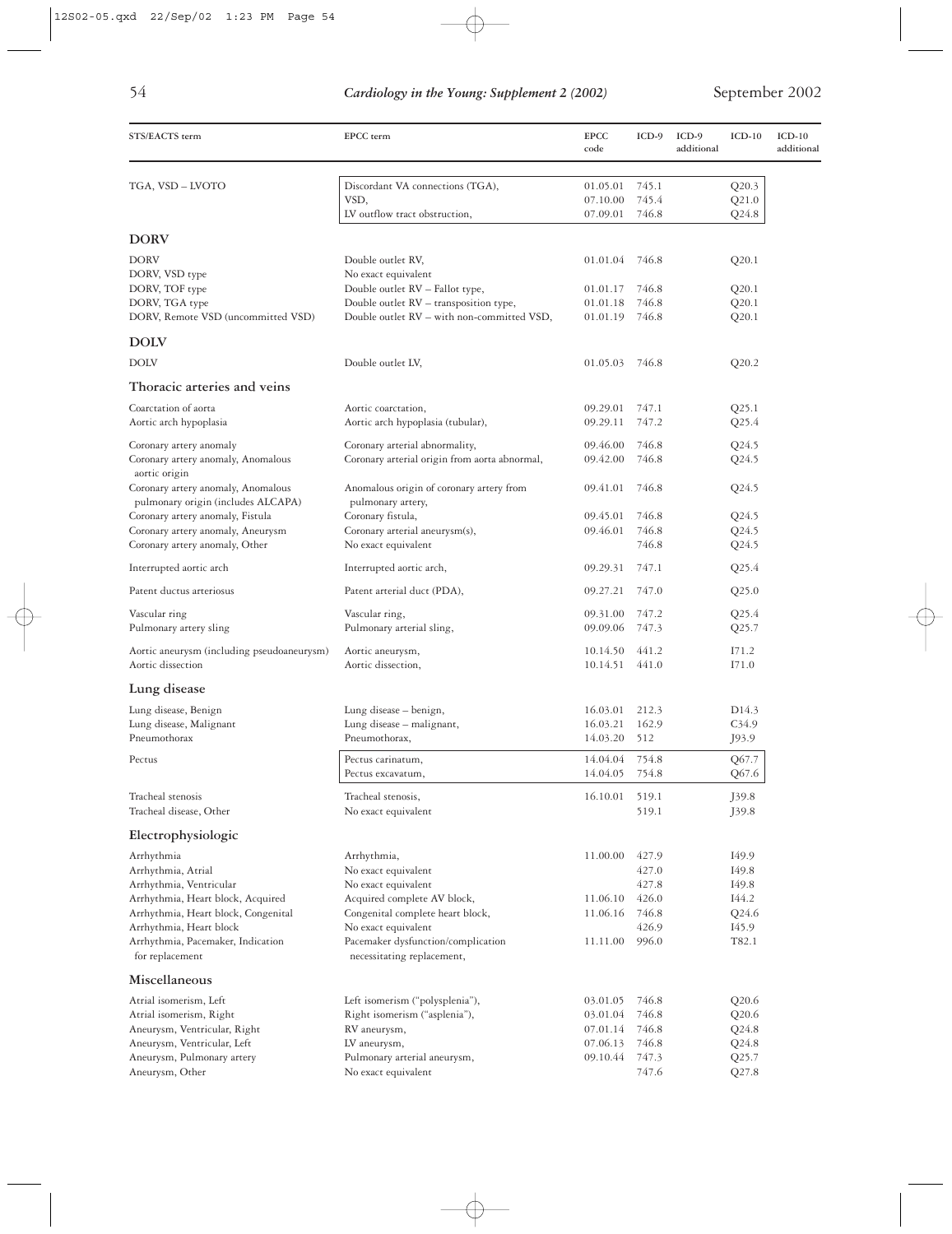| STS/EACTS term                                                                            | EPCC term                                                     | <b>EPCC</b><br>code | $ICD-9$ | $ICD-9$<br>additional | $ICD-10$          | $ICD-10$<br>additional |
|-------------------------------------------------------------------------------------------|---------------------------------------------------------------|---------------------|---------|-----------------------|-------------------|------------------------|
| TGA, VSD - LVOTO                                                                          | Discordant VA connections (TGA),                              | 01.05.01            | 745.1   |                       | Q20.3             |                        |
|                                                                                           | VSD,                                                          | 07.10.00            | 745.4   |                       | Q21.0             |                        |
|                                                                                           | LV outflow tract obstruction,                                 | 07.09.01            | 746.8   |                       | Q24.8             |                        |
| <b>DORV</b>                                                                               |                                                               |                     |         |                       |                   |                        |
| <b>DORV</b>                                                                               | Double outlet RV,                                             | 01.01.04            | 746.8   |                       | Q20.1             |                        |
| DORV, VSD type                                                                            | No exact equivalent                                           |                     |         |                       |                   |                        |
| DORV, TOF type                                                                            | Double outlet RV - Fallot type,                               | 01.01.17            | 746.8   |                       | Q20.1             |                        |
| DORV, TGA type                                                                            | Double outlet RV - transposition type,                        | 01.01.18            | 746.8   |                       | Q20.1             |                        |
| DORV, Remote VSD (uncommitted VSD)                                                        | Double outlet RV - with non-committed VSD,                    | 01.01.19            | 746.8   |                       | Q20.1             |                        |
| <b>DOLV</b>                                                                               |                                                               |                     |         |                       |                   |                        |
| <b>DOLV</b>                                                                               | Double outlet LV,                                             | 01.05.03 746.8      |         |                       | Q20.2             |                        |
| Thoracic arteries and veins                                                               |                                                               |                     |         |                       |                   |                        |
| Coarctation of aorta                                                                      | Aortic coarctation,                                           | 09.29.01            | 747.1   |                       | Q25.1             |                        |
| Aortic arch hypoplasia                                                                    | Aortic arch hypoplasia (tubular),                             | 09.29.11            | 747.2   |                       | Q25.4             |                        |
| Coronary artery anomaly                                                                   | Coronary arterial abnormality,                                | 09.46.00            | 746.8   |                       | Q24.5             |                        |
| Coronary artery anomaly, Anomalous                                                        | Coronary arterial origin from aorta abnormal,                 | 09.42.00            | 746.8   |                       | Q24.5             |                        |
| aortic origin<br>Coronary artery anomaly, Anomalous<br>pulmonary origin (includes ALCAPA) | Anomalous origin of coronary artery from<br>pulmonary artery, | 09.41.01            | 746.8   |                       | Q24.5             |                        |
| Coronary artery anomaly, Fistula                                                          | Coronary fistula,                                             | 09.45.01            | 746.8   |                       | Q24.5             |                        |
| Coronary artery anomaly, Aneurysm                                                         | Coronary arterial aneurysm(s),                                | 09.46.01            | 746.8   |                       | Q24.5             |                        |
| Coronary artery anomaly, Other                                                            | No exact equivalent                                           |                     | 746.8   |                       | Q24.5             |                        |
| Interrupted aortic arch                                                                   | Interrupted aortic arch,                                      | 09.29.31            | 747.1   |                       | Q25.4             |                        |
| Patent ductus arteriosus                                                                  | Patent arterial duct (PDA),                                   | 09.27.21            | 747.0   |                       | Q25.0             |                        |
| Vascular ring                                                                             | Vascular ring,                                                | 09.31.00            | 747.2   |                       | Q25.4             |                        |
| Pulmonary artery sling                                                                    | Pulmonary arterial sling,                                     | 09.09.06            | 747.3   |                       | Q25.7             |                        |
| Aortic aneurysm (including pseudoaneurysm)                                                | Aortic aneurysm,                                              | 10.14.50            | 441.2   |                       | I71.2             |                        |
| Aortic dissection                                                                         | Aortic dissection,                                            | 10.14.51            | 441.0   |                       | I71.0             |                        |
| Lung disease                                                                              |                                                               |                     |         |                       |                   |                        |
| Lung disease, Benign                                                                      | Lung disease - benign,                                        | 16.03.01            | 212.3   |                       | D <sub>14.3</sub> |                        |
| Lung disease, Malignant                                                                   | Lung disease - malignant,                                     | 16.03.21            | 162.9   |                       | C <sub>34.9</sub> |                        |
| Pneumothorax                                                                              | Pneumothorax,                                                 | 14.03.20            | 512     |                       | J93.9             |                        |
| Pectus                                                                                    | Pectus carinatum.                                             | 14.04.04            | 754.8   |                       | Q67.7             |                        |
|                                                                                           | Pectus excavatum,                                             | 14.04.05            | 754.8   |                       | Q67.6             |                        |
| Tracheal stenosis                                                                         | Tracheal stenosis,                                            | 16.10.01            | 519.1   |                       | J39.8             |                        |
| Tracheal disease, Other                                                                   | No exact equivalent                                           |                     | 519.1   |                       | J39.8             |                        |
| Electrophysiologic                                                                        |                                                               |                     |         |                       |                   |                        |
| Arrhythmia                                                                                | Arrhythmia,                                                   | 11.00.00            | 427.9   |                       | I49.9             |                        |
| Arrhythmia, Atrial                                                                        | No exact equivalent                                           |                     | 427.0   |                       | I49.8             |                        |
| Arrhythmia, Ventricular                                                                   | No exact equivalent                                           |                     | 427.8   |                       | I49.8             |                        |
| Arrhythmia, Heart block, Acquired                                                         | Acquired complete AV block,                                   | 11.06.10            | 426.0   |                       | I44.2             |                        |
| Arrhythmia, Heart block, Congenital                                                       | Congenital complete heart block,                              | 11.06.16            | 746.8   |                       | Q24.6             |                        |
| Arrhythmia, Heart block                                                                   | No exact equivalent                                           |                     | 426.9   |                       | I45.9             |                        |
| Arrhythmia, Pacemaker, Indication                                                         | Pacemaker dysfunction/complication                            | 11.11.00            | 996.0   |                       | T82.1             |                        |
| for replacement                                                                           | necessitating replacement,                                    |                     |         |                       |                   |                        |
| Miscellaneous                                                                             |                                                               |                     |         |                       |                   |                        |
| Atrial isomerism, Left                                                                    | Left isomerism ("polysplenia"),                               | 03.01.05            | 746.8   |                       | Q20.6             |                        |
| Atrial isomerism, Right                                                                   | Right isomerism ("asplenia"),                                 | 03.01.04            | 746.8   |                       | Q20.6             |                        |
| Aneurysm, Ventricular, Right                                                              | RV aneurysm,                                                  | 07.01.14            | 746.8   |                       | Q24.8             |                        |
| Aneurysm, Ventricular, Left                                                               | LV aneurysm,                                                  | 07.06.13            | 746.8   |                       | Q24.8             |                        |
| Aneurysm, Pulmonary artery                                                                | Pulmonary arterial aneurysm,                                  | 09.10.44            | 747.3   |                       | Q25.7             |                        |
| Aneurysm, Other                                                                           | No exact equivalent                                           |                     | 747.6   |                       | Q27.8             |                        |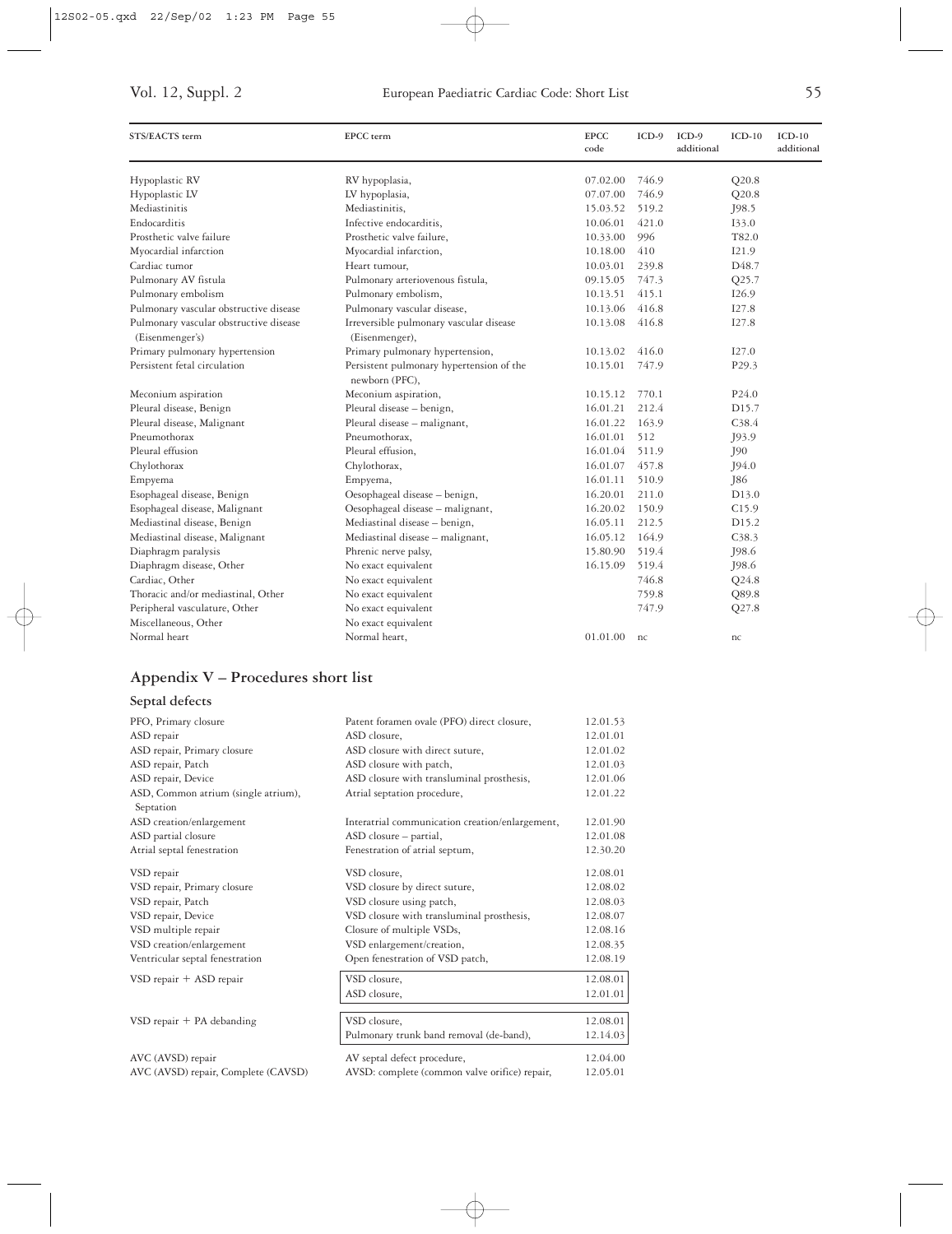| STS/EACTS term                                            | EPCC term                                                  | <b>EPCC</b><br>code | $ICD-9$ | $ICD-9$<br>additional | $ICD-10$           | $ICD-10$<br>additional |
|-----------------------------------------------------------|------------------------------------------------------------|---------------------|---------|-----------------------|--------------------|------------------------|
| Hypoplastic RV                                            | RV hypoplasia,                                             | 07.02.00            | 746.9   |                       | Q20.8              |                        |
| Hypoplastic LV                                            | LV hypoplasia,                                             | 07.07.00            | 746.9   |                       | Q20.8              |                        |
| Mediastinitis                                             | Mediastinitis,                                             | 15.03.52            | 519.2   |                       | J98.5              |                        |
| Endocarditis                                              | Infective endocarditis,                                    | 10.06.01            | 421.0   |                       | 133.0              |                        |
| Prosthetic valve failure                                  | Prosthetic valve failure,                                  | 10.33.00            | 996     |                       | T82.0              |                        |
| Myocardial infarction                                     | Myocardial infarction,                                     | 10.18.00            | 410     |                       | I21.9              |                        |
| Cardiac tumor                                             | Heart tumour,                                              | 10.03.01            | 239.8   |                       | D <sub>48.7</sub>  |                        |
| Pulmonary AV fistula                                      | Pulmonary arteriovenous fistula,                           | 09.15.05            | 747.3   |                       | Q25.7              |                        |
| Pulmonary embolism                                        | Pulmonary embolism,                                        | 10.13.51            | 415.1   |                       | I26.9              |                        |
| Pulmonary vascular obstructive disease                    | Pulmonary vascular disease,                                | 10.13.06            | 416.8   |                       | I27.8              |                        |
| Pulmonary vascular obstructive disease<br>(Eisenmenger's) | Irreversible pulmonary vascular disease<br>(Eisenmenger),  | 10.13.08            | 416.8   |                       | I27.8              |                        |
| Primary pulmonary hypertension                            | Primary pulmonary hypertension,                            | 10.13.02            | 416.0   |                       | I27.0              |                        |
| Persistent fetal circulation                              | Persistent pulmonary hypertension of the<br>newborn (PFC), | 10.15.01            | 747.9   |                       | P <sub>29.3</sub>  |                        |
| Meconium aspiration                                       | Meconium aspiration,                                       | 10.15.12            | 770.1   |                       | P <sub>24.0</sub>  |                        |
| Pleural disease, Benign                                   | Pleural disease - benign,                                  | 16.01.21            | 212.4   |                       | D <sub>15.7</sub>  |                        |
| Pleural disease, Malignant                                | Pleural disease - malignant,                               | 16.01.22            | 163.9   |                       | C <sub>38.4</sub>  |                        |
| Pneumothorax                                              | Pneumothorax,                                              | 16.01.01            | 512     |                       | J93.9              |                        |
| Pleural effusion                                          | Pleural effusion,                                          | 16.01.04            | 511.9   |                       | J90                |                        |
| Chylothorax                                               | Chylothorax,                                               | 16.01.07            | 457.8   |                       | J94.0              |                        |
| Empyema                                                   | Empyema,                                                   | 16.01.11            | 510.9   |                       | <b>J86</b>         |                        |
| Esophageal disease, Benign                                | Oesophageal disease - benign,                              | 16.20.01            | 211.0   |                       | D <sub>1</sub> 3.0 |                        |
| Esophageal disease, Malignant                             | Oesophageal disease - malignant,                           | 16.20.02            | 150.9   |                       | C15.9              |                        |
| Mediastinal disease, Benign                               | Mediastinal disease - benign,                              | 16.05.11            | 212.5   |                       | D <sub>15.2</sub>  |                        |
| Mediastinal disease, Malignant                            | Mediastinal disease - malignant,                           | 16.05.12            | 164.9   |                       | C <sub>38.3</sub>  |                        |
| Diaphragm paralysis                                       | Phrenic nerve palsy,                                       | 15.80.90            | 519.4   |                       | J98.6              |                        |
| Diaphragm disease, Other                                  | No exact equivalent                                        | 16.15.09            | 519.4   |                       | J98.6              |                        |
| Cardiac, Other                                            | No exact equivalent                                        |                     | 746.8   |                       | Q24.8              |                        |
| Thoracic and/or mediastinal, Other                        | No exact equivalent                                        |                     | 759.8   |                       | Q89.8              |                        |
| Peripheral vasculature, Other                             | No exact equivalent                                        |                     | 747.9   |                       | Q27.8              |                        |
| Miscellaneous, Other                                      | No exact equivalent                                        |                     |         |                       |                    |                        |
| Normal heart                                              | Normal heart.                                              | 01.01.00            | nc      |                       | nc                 |                        |

### **Appendix V – Procedures short list**

### **Septal defects**

| PFO, Primary closure                             | Patent foramen ovale (PFO) direct closure,      | 12.01.53 |
|--------------------------------------------------|-------------------------------------------------|----------|
| ASD repair                                       | ASD closure,                                    | 12.01.01 |
| ASD repair, Primary closure                      | ASD closure with direct suture,                 | 12.01.02 |
| ASD repair, Patch                                | ASD closure with patch,                         | 12.01.03 |
| ASD repair, Device                               | ASD closure with transluminal prosthesis,       | 12.01.06 |
| ASD, Common atrium (single atrium),<br>Septation | Atrial septation procedure,                     | 12.01.22 |
| ASD creation/enlargement                         | Interatrial communication creation/enlargement, | 12.01.90 |
| ASD partial closure                              | ASD closure – partial,                          | 12.01.08 |
| Atrial septal fenestration                       | Fenestration of atrial septum,                  | 12.30.20 |
| VSD repair                                       | VSD closure,                                    | 12.08.01 |
| VSD repair, Primary closure                      | VSD closure by direct suture,                   | 12.08.02 |
| VSD repair, Patch                                | VSD closure using patch,                        | 12.08.03 |
| VSD repair, Device                               | VSD closure with transluminal prosthesis,       | 12.08.07 |
| VSD multiple repair                              | Closure of multiple VSDs,                       | 12.08.16 |
| VSD creation/enlargement                         | VSD enlargement/creation,                       | 12.08.35 |
| Ventricular septal fenestration                  | Open fenestration of VSD patch,                 | 12.08.19 |
| VSD repair + ASD repair                          | VSD closure,                                    | 12.08.01 |
|                                                  | ASD closure,                                    | 12.01.01 |
| $VSD$ repair $+ PA$ debanding                    | VSD closure,                                    | 12.08.01 |
|                                                  | Pulmonary trunk band removal (de-band),         | 12.14.03 |
| AVC (AVSD) repair                                | AV septal defect procedure,                     | 12.04.00 |
| AVC (AVSD) repair, Complete (CAVSD)              | AVSD: complete (common valve orifice) repair,   | 12.05.01 |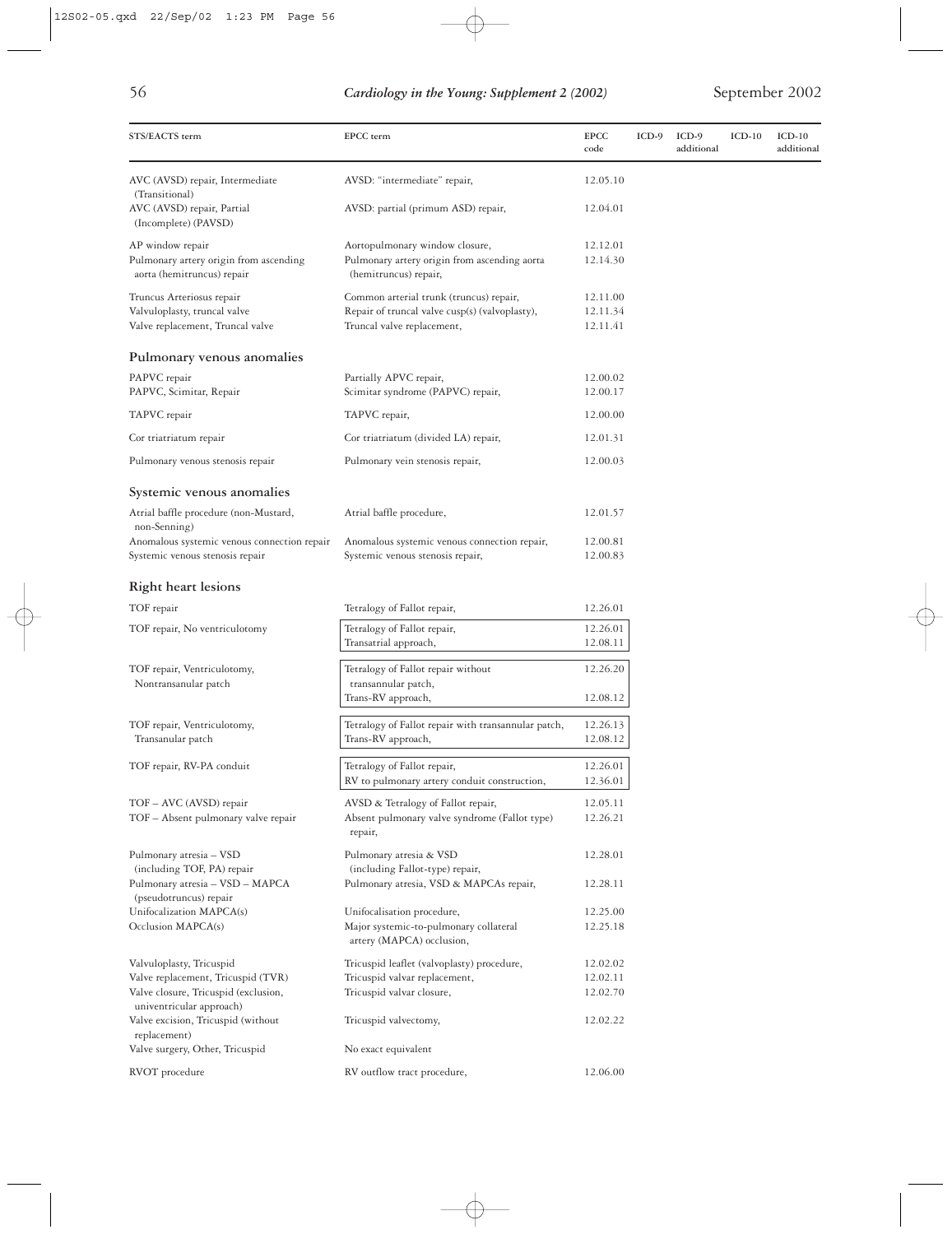| STS/EACTS term                                                                 | EPCC term                                                                        | <b>EPCC</b><br>code  | $ICD-9$ | ICD-9<br>additional | $ICD-10$ | $ICD-10$<br>additional |
|--------------------------------------------------------------------------------|----------------------------------------------------------------------------------|----------------------|---------|---------------------|----------|------------------------|
| AVC (AVSD) repair, Intermediate<br>(Transitional)                              | AVSD: "intermediate" repair,                                                     | 12.05.10             |         |                     |          |                        |
| AVC (AVSD) repair, Partial<br>(Incomplete) (PAVSD)                             | AVSD: partial (primum ASD) repair,                                               | 12.04.01             |         |                     |          |                        |
| AP window repair                                                               | Aortopulmonary window closure,                                                   | 12.12.01             |         |                     |          |                        |
| Pulmonary artery origin from ascending<br>aorta (hemitruncus) repair           | Pulmonary artery origin from ascending aorta<br>(hemitruncus) repair,            | 12.14.30             |         |                     |          |                        |
| Truncus Arteriosus repair                                                      | Common arterial trunk (truncus) repair,                                          | 12.11.00             |         |                     |          |                        |
| Valvuloplasty, truncal valve<br>Valve replacement, Truncal valve               | Repair of truncal valve cusp(s) (valvoplasty),<br>Truncal valve replacement,     | 12.11.34<br>12.11.41 |         |                     |          |                        |
| Pulmonary venous anomalies                                                     |                                                                                  |                      |         |                     |          |                        |
| PAPVC repair<br>PAPVC, Scimitar, Repair                                        | Partially APVC repair,<br>Scimitar syndrome (PAPVC) repair,                      | 12.00.02<br>12.00.17 |         |                     |          |                        |
| TAPVC repair                                                                   | TAPVC repair,                                                                    | 12.00.00             |         |                     |          |                        |
| Cor triatriatum repair                                                         | Cor triatriatum (divided LA) repair,                                             | 12.01.31             |         |                     |          |                        |
| Pulmonary venous stenosis repair                                               | Pulmonary vein stenosis repair,                                                  | 12.00.03             |         |                     |          |                        |
|                                                                                |                                                                                  |                      |         |                     |          |                        |
| Systemic venous anomalies                                                      |                                                                                  |                      |         |                     |          |                        |
| Atrial baffle procedure (non-Mustard,<br>non-Senning)                          | Atrial baffle procedure,                                                         | 12.01.57             |         |                     |          |                        |
| Anomalous systemic venous connection repair<br>Systemic venous stenosis repair | Anomalous systemic venous connection repair,<br>Systemic venous stenosis repair, | 12.00.81<br>12.00.83 |         |                     |          |                        |
| <b>Right heart lesions</b>                                                     |                                                                                  |                      |         |                     |          |                        |
| TOF repair                                                                     | Tetralogy of Fallot repair,                                                      | 12.26.01             |         |                     |          |                        |
| TOF repair, No ventriculotomy                                                  | Tetralogy of Fallot repair,<br>Transatrial approach,                             | 12.26.01<br>12.08.11 |         |                     |          |                        |
| TOF repair, Ventriculotomy,<br>Nontransanular patch                            | Tetralogy of Fallot repair without<br>transannular patch,                        | 12.26.20             |         |                     |          |                        |
|                                                                                | Trans-RV approach,                                                               | 12.08.12             |         |                     |          |                        |
| TOF repair, Ventriculotomy,                                                    | Tetralogy of Fallot repair with transannular patch,                              | 12.26.13             |         |                     |          |                        |
| Transanular patch                                                              | Trans-RV approach,                                                               | 12.08.12             |         |                     |          |                        |
| TOF repair, RV-PA conduit                                                      | Tetralogy of Fallot repair,                                                      | 12.26.01             |         |                     |          |                        |
|                                                                                | RV to pulmonary artery conduit construction,                                     | 12.36.01             |         |                     |          |                        |
| TOF - AVC (AVSD) repair                                                        | AVSD & Tetralogy of Fallot repair,                                               | 12.05.11             |         |                     |          |                        |
| TOF - Absent pulmonary valve repair                                            | Absent pulmonary valve syndrome (Fallot type)<br>repair,                         | 12.26.21             |         |                     |          |                        |
| Pulmonary atresia - VSD<br>(including TOF, PA) repair                          | Pulmonary atresia & VSD<br>(including Fallot-type) repair,                       | 12.28.01             |         |                     |          |                        |
| Pulmonary atresia - VSD - MAPCA<br>(pseudotruncus) repair                      | Pulmonary atresia, VSD & MAPCAs repair,                                          | 12.28.11             |         |                     |          |                        |
| Unifocalization MAPCA(s)                                                       | Unifocalisation procedure,                                                       | 12.25.00             |         |                     |          |                        |
| Occlusion MAPCA(s)                                                             | Major systemic-to-pulmonary collateral<br>artery (MAPCA) occlusion,              | 12.25.18             |         |                     |          |                        |
| Valvuloplasty, Tricuspid                                                       | Tricuspid leaflet (valvoplasty) procedure,                                       | 12.02.02             |         |                     |          |                        |
| Valve replacement, Tricuspid (TVR)<br>Valve closure, Tricuspid (exclusion,     | Tricuspid valvar replacement,<br>Tricuspid valvar closure,                       | 12.02.11<br>12.02.70 |         |                     |          |                        |
| univentricular approach)<br>Valve excision, Tricuspid (without<br>replacement) | Tricuspid valvectomy,                                                            | 12.02.22             |         |                     |          |                        |
| Valve surgery, Other, Tricuspid                                                | No exact equivalent                                                              |                      |         |                     |          |                        |
| RVOT procedure                                                                 | RV outflow tract procedure,                                                      | 12.06.00             |         |                     |          |                        |
|                                                                                |                                                                                  |                      |         |                     |          |                        |

 $\oplus$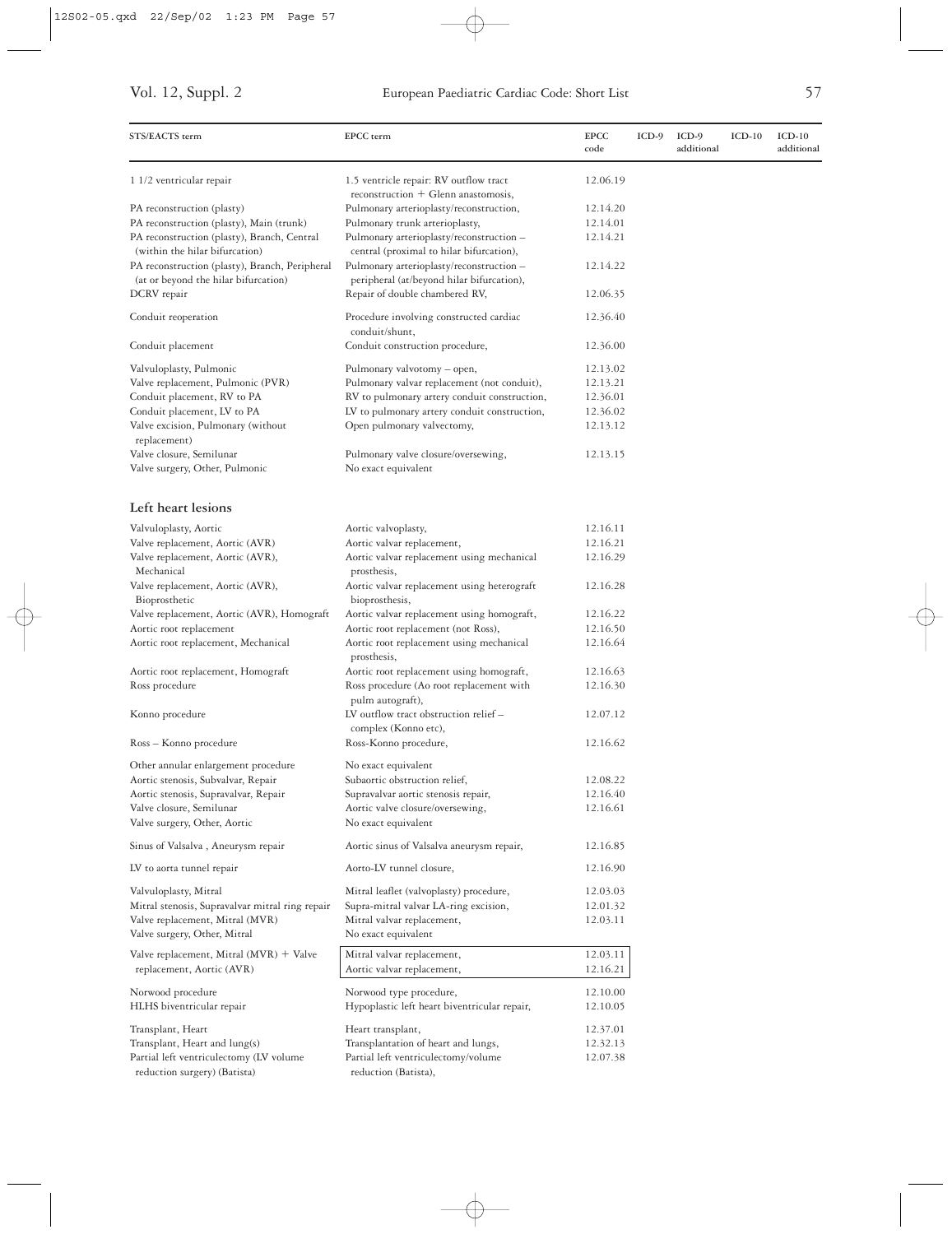| 1.5 ventricle repair: RV outflow tract<br>12.06.19<br>1 1/2 ventricular repair<br>$reconstruction + Glenn$ anastomosis,<br>Pulmonary arterioplasty/reconstruction,<br>PA reconstruction (plasty)<br>12.14.20<br>PA reconstruction (plasty), Main (trunk)<br>Pulmonary trunk arterioplasty,<br>12.14.01<br>PA reconstruction (plasty), Branch, Central<br>Pulmonary arterioplasty/reconstruction -<br>12.14.21<br>(within the hilar bifurcation)<br>central (proximal to hilar bifurcation),<br>PA reconstruction (plasty), Branch, Peripheral<br>Pulmonary arterioplasty/reconstruction -<br>12.14.22<br>(at or beyond the hilar bifurcation)<br>peripheral (at/beyond hilar bifurcation),<br>DCRV repair<br>Repair of double chambered RV,<br>12.06.35<br>Procedure involving constructed cardiac<br>Conduit reoperation<br>12.36.40<br>conduit/shunt,<br>Conduit construction procedure,<br>Conduit placement<br>12.36.00<br>Valvuloplasty, Pulmonic<br>Pulmonary valvotomy - open,<br>12.13.02<br>Valve replacement, Pulmonic (PVR)<br>Pulmonary valvar replacement (not conduit),<br>12.13.21<br>Conduit placement, RV to PA<br>RV to pulmonary artery conduit construction,<br>12.36.01<br>Conduit placement, LV to PA<br>LV to pulmonary artery conduit construction,<br>12.36.02<br>Valve excision, Pulmonary (without<br>Open pulmonary valvectomy,<br>12.13.12<br>replacement)<br>Valve closure, Semilunar<br>Pulmonary valve closure/oversewing,<br>12.13.15<br>No exact equivalent<br>Valve surgery, Other, Pulmonic<br>Left heart lesions<br>12.16.11<br>Valvuloplasty, Aortic<br>Aortic valvoplasty,<br>Valve replacement, Aortic (AVR)<br>Aortic valvar replacement,<br>12.16.21<br>Valve replacement, Aortic (AVR),<br>Aortic valvar replacement using mechanical<br>12.16.29<br>Mechanical<br>prosthesis,<br>Valve replacement, Aortic (AVR),<br>Aortic valvar replacement using heterograft<br>12.16.28<br>Bioprosthetic<br>bioprosthesis,<br>Aortic valvar replacement using homograft,<br>Valve replacement, Aortic (AVR), Homograft<br>12.16.22<br>12.16.50<br>Aortic root replacement<br>Aortic root replacement (not Ross),<br>Aortic root replacement using mechanical<br>12.16.64<br>Aortic root replacement, Mechanical<br>prosthesis,<br>Aortic root replacement using homograft,<br>12.16.63<br>Aortic root replacement, Homograft<br>Ross procedure<br>Ross procedure (Ao root replacement with<br>12.16.30<br>pulm autograft),<br>LV outflow tract obstruction relief -<br>Konno procedure<br>12.07.12<br>complex (Konno etc),<br>Ross-Konno procedure,<br>12.16.62<br>Ross – Konno procedure<br>Other annular enlargement procedure<br>No exact equivalent<br>Aortic stenosis, Subvalvar, Repair<br>Subaortic obstruction relief,<br>12.08.22<br>12.16.40<br>Aortic stenosis, Supravalvar, Repair<br>Supravalvar aortic stenosis repair,<br>Valve closure, Semilunar<br>12.16.61<br>Aortic valve closure/oversewing,<br>Valve surgery, Other, Aortic<br>No exact equivalent<br>Sinus of Valsalva, Aneurysm repair<br>Aortic sinus of Valsalva aneurysm repair,<br>12.16.85<br>LV to aorta tunnel repair<br>Aorto-LV tunnel closure,<br>12.16.90<br>Valvuloplasty, Mitral<br>Mitral leaflet (valvoplasty) procedure,<br>12.03.03<br>Mitral stenosis, Supravalvar mitral ring repair<br>Supra-mitral valvar LA-ring excision,<br>12.01.32<br>Valve replacement, Mitral (MVR)<br>Mitral valvar replacement,<br>12.03.11<br>Valve surgery, Other, Mitral<br>No exact equivalent<br>Valve replacement, Mitral $(MVR)$ + Valve<br>Mitral valvar replacement,<br>12.03.11<br>12.16.21<br>replacement, Aortic (AVR)<br>Aortic valvar replacement,<br>Norwood type procedure,<br>12.10.00<br>Norwood procedure<br>Hypoplastic left heart biventricular repair,<br>HLHS biventricular repair<br>12.10.05<br>Transplant, Heart<br>Heart transplant,<br>12.37.01<br>Transplant, Heart and lung(s)<br>Transplantation of heart and lungs,<br>12.32.13<br>Partial left ventriculectomy (LV volume<br>Partial left ventriculectomy/volume<br>12.07.38<br>reduction surgery) (Batista)<br>reduction (Batista), | STS/EACTS term | EPCC term | <b>EPCC</b><br>code | $ICD-9$ | ICD-9<br>additional | $ICD-10$ | $ICD-10$<br>additional |
|------------------------------------------------------------------------------------------------------------------------------------------------------------------------------------------------------------------------------------------------------------------------------------------------------------------------------------------------------------------------------------------------------------------------------------------------------------------------------------------------------------------------------------------------------------------------------------------------------------------------------------------------------------------------------------------------------------------------------------------------------------------------------------------------------------------------------------------------------------------------------------------------------------------------------------------------------------------------------------------------------------------------------------------------------------------------------------------------------------------------------------------------------------------------------------------------------------------------------------------------------------------------------------------------------------------------------------------------------------------------------------------------------------------------------------------------------------------------------------------------------------------------------------------------------------------------------------------------------------------------------------------------------------------------------------------------------------------------------------------------------------------------------------------------------------------------------------------------------------------------------------------------------------------------------------------------------------------------------------------------------------------------------------------------------------------------------------------------------------------------------------------------------------------------------------------------------------------------------------------------------------------------------------------------------------------------------------------------------------------------------------------------------------------------------------------------------------------------------------------------------------------------------------------------------------------------------------------------------------------------------------------------------------------------------------------------------------------------------------------------------------------------------------------------------------------------------------------------------------------------------------------------------------------------------------------------------------------------------------------------------------------------------------------------------------------------------------------------------------------------------------------------------------------------------------------------------------------------------------------------------------------------------------------------------------------------------------------------------------------------------------------------------------------------------------------------------------------------------------------------------------------------------------------------------------------------------------------------------------------------------------------------------------------------------------------------------------------------------------------------------------------------------------------------------------------------------------------------------------------------------------------------------------------------------------------------------------------------------------------------------------------------------------------------------------------------------------------------------------------------------|----------------|-----------|---------------------|---------|---------------------|----------|------------------------|
|                                                                                                                                                                                                                                                                                                                                                                                                                                                                                                                                                                                                                                                                                                                                                                                                                                                                                                                                                                                                                                                                                                                                                                                                                                                                                                                                                                                                                                                                                                                                                                                                                                                                                                                                                                                                                                                                                                                                                                                                                                                                                                                                                                                                                                                                                                                                                                                                                                                                                                                                                                                                                                                                                                                                                                                                                                                                                                                                                                                                                                                                                                                                                                                                                                                                                                                                                                                                                                                                                                                                                                                                                                                                                                                                                                                                                                                                                                                                                                                                                                                                                                                              |                |           |                     |         |                     |          |                        |
|                                                                                                                                                                                                                                                                                                                                                                                                                                                                                                                                                                                                                                                                                                                                                                                                                                                                                                                                                                                                                                                                                                                                                                                                                                                                                                                                                                                                                                                                                                                                                                                                                                                                                                                                                                                                                                                                                                                                                                                                                                                                                                                                                                                                                                                                                                                                                                                                                                                                                                                                                                                                                                                                                                                                                                                                                                                                                                                                                                                                                                                                                                                                                                                                                                                                                                                                                                                                                                                                                                                                                                                                                                                                                                                                                                                                                                                                                                                                                                                                                                                                                                                              |                |           |                     |         |                     |          |                        |
|                                                                                                                                                                                                                                                                                                                                                                                                                                                                                                                                                                                                                                                                                                                                                                                                                                                                                                                                                                                                                                                                                                                                                                                                                                                                                                                                                                                                                                                                                                                                                                                                                                                                                                                                                                                                                                                                                                                                                                                                                                                                                                                                                                                                                                                                                                                                                                                                                                                                                                                                                                                                                                                                                                                                                                                                                                                                                                                                                                                                                                                                                                                                                                                                                                                                                                                                                                                                                                                                                                                                                                                                                                                                                                                                                                                                                                                                                                                                                                                                                                                                                                                              |                |           |                     |         |                     |          |                        |
|                                                                                                                                                                                                                                                                                                                                                                                                                                                                                                                                                                                                                                                                                                                                                                                                                                                                                                                                                                                                                                                                                                                                                                                                                                                                                                                                                                                                                                                                                                                                                                                                                                                                                                                                                                                                                                                                                                                                                                                                                                                                                                                                                                                                                                                                                                                                                                                                                                                                                                                                                                                                                                                                                                                                                                                                                                                                                                                                                                                                                                                                                                                                                                                                                                                                                                                                                                                                                                                                                                                                                                                                                                                                                                                                                                                                                                                                                                                                                                                                                                                                                                                              |                |           |                     |         |                     |          |                        |
|                                                                                                                                                                                                                                                                                                                                                                                                                                                                                                                                                                                                                                                                                                                                                                                                                                                                                                                                                                                                                                                                                                                                                                                                                                                                                                                                                                                                                                                                                                                                                                                                                                                                                                                                                                                                                                                                                                                                                                                                                                                                                                                                                                                                                                                                                                                                                                                                                                                                                                                                                                                                                                                                                                                                                                                                                                                                                                                                                                                                                                                                                                                                                                                                                                                                                                                                                                                                                                                                                                                                                                                                                                                                                                                                                                                                                                                                                                                                                                                                                                                                                                                              |                |           |                     |         |                     |          |                        |
|                                                                                                                                                                                                                                                                                                                                                                                                                                                                                                                                                                                                                                                                                                                                                                                                                                                                                                                                                                                                                                                                                                                                                                                                                                                                                                                                                                                                                                                                                                                                                                                                                                                                                                                                                                                                                                                                                                                                                                                                                                                                                                                                                                                                                                                                                                                                                                                                                                                                                                                                                                                                                                                                                                                                                                                                                                                                                                                                                                                                                                                                                                                                                                                                                                                                                                                                                                                                                                                                                                                                                                                                                                                                                                                                                                                                                                                                                                                                                                                                                                                                                                                              |                |           |                     |         |                     |          |                        |
|                                                                                                                                                                                                                                                                                                                                                                                                                                                                                                                                                                                                                                                                                                                                                                                                                                                                                                                                                                                                                                                                                                                                                                                                                                                                                                                                                                                                                                                                                                                                                                                                                                                                                                                                                                                                                                                                                                                                                                                                                                                                                                                                                                                                                                                                                                                                                                                                                                                                                                                                                                                                                                                                                                                                                                                                                                                                                                                                                                                                                                                                                                                                                                                                                                                                                                                                                                                                                                                                                                                                                                                                                                                                                                                                                                                                                                                                                                                                                                                                                                                                                                                              |                |           |                     |         |                     |          |                        |
|                                                                                                                                                                                                                                                                                                                                                                                                                                                                                                                                                                                                                                                                                                                                                                                                                                                                                                                                                                                                                                                                                                                                                                                                                                                                                                                                                                                                                                                                                                                                                                                                                                                                                                                                                                                                                                                                                                                                                                                                                                                                                                                                                                                                                                                                                                                                                                                                                                                                                                                                                                                                                                                                                                                                                                                                                                                                                                                                                                                                                                                                                                                                                                                                                                                                                                                                                                                                                                                                                                                                                                                                                                                                                                                                                                                                                                                                                                                                                                                                                                                                                                                              |                |           |                     |         |                     |          |                        |
|                                                                                                                                                                                                                                                                                                                                                                                                                                                                                                                                                                                                                                                                                                                                                                                                                                                                                                                                                                                                                                                                                                                                                                                                                                                                                                                                                                                                                                                                                                                                                                                                                                                                                                                                                                                                                                                                                                                                                                                                                                                                                                                                                                                                                                                                                                                                                                                                                                                                                                                                                                                                                                                                                                                                                                                                                                                                                                                                                                                                                                                                                                                                                                                                                                                                                                                                                                                                                                                                                                                                                                                                                                                                                                                                                                                                                                                                                                                                                                                                                                                                                                                              |                |           |                     |         |                     |          |                        |
|                                                                                                                                                                                                                                                                                                                                                                                                                                                                                                                                                                                                                                                                                                                                                                                                                                                                                                                                                                                                                                                                                                                                                                                                                                                                                                                                                                                                                                                                                                                                                                                                                                                                                                                                                                                                                                                                                                                                                                                                                                                                                                                                                                                                                                                                                                                                                                                                                                                                                                                                                                                                                                                                                                                                                                                                                                                                                                                                                                                                                                                                                                                                                                                                                                                                                                                                                                                                                                                                                                                                                                                                                                                                                                                                                                                                                                                                                                                                                                                                                                                                                                                              |                |           |                     |         |                     |          |                        |
|                                                                                                                                                                                                                                                                                                                                                                                                                                                                                                                                                                                                                                                                                                                                                                                                                                                                                                                                                                                                                                                                                                                                                                                                                                                                                                                                                                                                                                                                                                                                                                                                                                                                                                                                                                                                                                                                                                                                                                                                                                                                                                                                                                                                                                                                                                                                                                                                                                                                                                                                                                                                                                                                                                                                                                                                                                                                                                                                                                                                                                                                                                                                                                                                                                                                                                                                                                                                                                                                                                                                                                                                                                                                                                                                                                                                                                                                                                                                                                                                                                                                                                                              |                |           |                     |         |                     |          |                        |
|                                                                                                                                                                                                                                                                                                                                                                                                                                                                                                                                                                                                                                                                                                                                                                                                                                                                                                                                                                                                                                                                                                                                                                                                                                                                                                                                                                                                                                                                                                                                                                                                                                                                                                                                                                                                                                                                                                                                                                                                                                                                                                                                                                                                                                                                                                                                                                                                                                                                                                                                                                                                                                                                                                                                                                                                                                                                                                                                                                                                                                                                                                                                                                                                                                                                                                                                                                                                                                                                                                                                                                                                                                                                                                                                                                                                                                                                                                                                                                                                                                                                                                                              |                |           |                     |         |                     |          |                        |
|                                                                                                                                                                                                                                                                                                                                                                                                                                                                                                                                                                                                                                                                                                                                                                                                                                                                                                                                                                                                                                                                                                                                                                                                                                                                                                                                                                                                                                                                                                                                                                                                                                                                                                                                                                                                                                                                                                                                                                                                                                                                                                                                                                                                                                                                                                                                                                                                                                                                                                                                                                                                                                                                                                                                                                                                                                                                                                                                                                                                                                                                                                                                                                                                                                                                                                                                                                                                                                                                                                                                                                                                                                                                                                                                                                                                                                                                                                                                                                                                                                                                                                                              |                |           |                     |         |                     |          |                        |
|                                                                                                                                                                                                                                                                                                                                                                                                                                                                                                                                                                                                                                                                                                                                                                                                                                                                                                                                                                                                                                                                                                                                                                                                                                                                                                                                                                                                                                                                                                                                                                                                                                                                                                                                                                                                                                                                                                                                                                                                                                                                                                                                                                                                                                                                                                                                                                                                                                                                                                                                                                                                                                                                                                                                                                                                                                                                                                                                                                                                                                                                                                                                                                                                                                                                                                                                                                                                                                                                                                                                                                                                                                                                                                                                                                                                                                                                                                                                                                                                                                                                                                                              |                |           |                     |         |                     |          |                        |
|                                                                                                                                                                                                                                                                                                                                                                                                                                                                                                                                                                                                                                                                                                                                                                                                                                                                                                                                                                                                                                                                                                                                                                                                                                                                                                                                                                                                                                                                                                                                                                                                                                                                                                                                                                                                                                                                                                                                                                                                                                                                                                                                                                                                                                                                                                                                                                                                                                                                                                                                                                                                                                                                                                                                                                                                                                                                                                                                                                                                                                                                                                                                                                                                                                                                                                                                                                                                                                                                                                                                                                                                                                                                                                                                                                                                                                                                                                                                                                                                                                                                                                                              |                |           |                     |         |                     |          |                        |
|                                                                                                                                                                                                                                                                                                                                                                                                                                                                                                                                                                                                                                                                                                                                                                                                                                                                                                                                                                                                                                                                                                                                                                                                                                                                                                                                                                                                                                                                                                                                                                                                                                                                                                                                                                                                                                                                                                                                                                                                                                                                                                                                                                                                                                                                                                                                                                                                                                                                                                                                                                                                                                                                                                                                                                                                                                                                                                                                                                                                                                                                                                                                                                                                                                                                                                                                                                                                                                                                                                                                                                                                                                                                                                                                                                                                                                                                                                                                                                                                                                                                                                                              |                |           |                     |         |                     |          |                        |
|                                                                                                                                                                                                                                                                                                                                                                                                                                                                                                                                                                                                                                                                                                                                                                                                                                                                                                                                                                                                                                                                                                                                                                                                                                                                                                                                                                                                                                                                                                                                                                                                                                                                                                                                                                                                                                                                                                                                                                                                                                                                                                                                                                                                                                                                                                                                                                                                                                                                                                                                                                                                                                                                                                                                                                                                                                                                                                                                                                                                                                                                                                                                                                                                                                                                                                                                                                                                                                                                                                                                                                                                                                                                                                                                                                                                                                                                                                                                                                                                                                                                                                                              |                |           |                     |         |                     |          |                        |
|                                                                                                                                                                                                                                                                                                                                                                                                                                                                                                                                                                                                                                                                                                                                                                                                                                                                                                                                                                                                                                                                                                                                                                                                                                                                                                                                                                                                                                                                                                                                                                                                                                                                                                                                                                                                                                                                                                                                                                                                                                                                                                                                                                                                                                                                                                                                                                                                                                                                                                                                                                                                                                                                                                                                                                                                                                                                                                                                                                                                                                                                                                                                                                                                                                                                                                                                                                                                                                                                                                                                                                                                                                                                                                                                                                                                                                                                                                                                                                                                                                                                                                                              |                |           |                     |         |                     |          |                        |
|                                                                                                                                                                                                                                                                                                                                                                                                                                                                                                                                                                                                                                                                                                                                                                                                                                                                                                                                                                                                                                                                                                                                                                                                                                                                                                                                                                                                                                                                                                                                                                                                                                                                                                                                                                                                                                                                                                                                                                                                                                                                                                                                                                                                                                                                                                                                                                                                                                                                                                                                                                                                                                                                                                                                                                                                                                                                                                                                                                                                                                                                                                                                                                                                                                                                                                                                                                                                                                                                                                                                                                                                                                                                                                                                                                                                                                                                                                                                                                                                                                                                                                                              |                |           |                     |         |                     |          |                        |
|                                                                                                                                                                                                                                                                                                                                                                                                                                                                                                                                                                                                                                                                                                                                                                                                                                                                                                                                                                                                                                                                                                                                                                                                                                                                                                                                                                                                                                                                                                                                                                                                                                                                                                                                                                                                                                                                                                                                                                                                                                                                                                                                                                                                                                                                                                                                                                                                                                                                                                                                                                                                                                                                                                                                                                                                                                                                                                                                                                                                                                                                                                                                                                                                                                                                                                                                                                                                                                                                                                                                                                                                                                                                                                                                                                                                                                                                                                                                                                                                                                                                                                                              |                |           |                     |         |                     |          |                        |
|                                                                                                                                                                                                                                                                                                                                                                                                                                                                                                                                                                                                                                                                                                                                                                                                                                                                                                                                                                                                                                                                                                                                                                                                                                                                                                                                                                                                                                                                                                                                                                                                                                                                                                                                                                                                                                                                                                                                                                                                                                                                                                                                                                                                                                                                                                                                                                                                                                                                                                                                                                                                                                                                                                                                                                                                                                                                                                                                                                                                                                                                                                                                                                                                                                                                                                                                                                                                                                                                                                                                                                                                                                                                                                                                                                                                                                                                                                                                                                                                                                                                                                                              |                |           |                     |         |                     |          |                        |
|                                                                                                                                                                                                                                                                                                                                                                                                                                                                                                                                                                                                                                                                                                                                                                                                                                                                                                                                                                                                                                                                                                                                                                                                                                                                                                                                                                                                                                                                                                                                                                                                                                                                                                                                                                                                                                                                                                                                                                                                                                                                                                                                                                                                                                                                                                                                                                                                                                                                                                                                                                                                                                                                                                                                                                                                                                                                                                                                                                                                                                                                                                                                                                                                                                                                                                                                                                                                                                                                                                                                                                                                                                                                                                                                                                                                                                                                                                                                                                                                                                                                                                                              |                |           |                     |         |                     |          |                        |
|                                                                                                                                                                                                                                                                                                                                                                                                                                                                                                                                                                                                                                                                                                                                                                                                                                                                                                                                                                                                                                                                                                                                                                                                                                                                                                                                                                                                                                                                                                                                                                                                                                                                                                                                                                                                                                                                                                                                                                                                                                                                                                                                                                                                                                                                                                                                                                                                                                                                                                                                                                                                                                                                                                                                                                                                                                                                                                                                                                                                                                                                                                                                                                                                                                                                                                                                                                                                                                                                                                                                                                                                                                                                                                                                                                                                                                                                                                                                                                                                                                                                                                                              |                |           |                     |         |                     |          |                        |
|                                                                                                                                                                                                                                                                                                                                                                                                                                                                                                                                                                                                                                                                                                                                                                                                                                                                                                                                                                                                                                                                                                                                                                                                                                                                                                                                                                                                                                                                                                                                                                                                                                                                                                                                                                                                                                                                                                                                                                                                                                                                                                                                                                                                                                                                                                                                                                                                                                                                                                                                                                                                                                                                                                                                                                                                                                                                                                                                                                                                                                                                                                                                                                                                                                                                                                                                                                                                                                                                                                                                                                                                                                                                                                                                                                                                                                                                                                                                                                                                                                                                                                                              |                |           |                     |         |                     |          |                        |
|                                                                                                                                                                                                                                                                                                                                                                                                                                                                                                                                                                                                                                                                                                                                                                                                                                                                                                                                                                                                                                                                                                                                                                                                                                                                                                                                                                                                                                                                                                                                                                                                                                                                                                                                                                                                                                                                                                                                                                                                                                                                                                                                                                                                                                                                                                                                                                                                                                                                                                                                                                                                                                                                                                                                                                                                                                                                                                                                                                                                                                                                                                                                                                                                                                                                                                                                                                                                                                                                                                                                                                                                                                                                                                                                                                                                                                                                                                                                                                                                                                                                                                                              |                |           |                     |         |                     |          |                        |
|                                                                                                                                                                                                                                                                                                                                                                                                                                                                                                                                                                                                                                                                                                                                                                                                                                                                                                                                                                                                                                                                                                                                                                                                                                                                                                                                                                                                                                                                                                                                                                                                                                                                                                                                                                                                                                                                                                                                                                                                                                                                                                                                                                                                                                                                                                                                                                                                                                                                                                                                                                                                                                                                                                                                                                                                                                                                                                                                                                                                                                                                                                                                                                                                                                                                                                                                                                                                                                                                                                                                                                                                                                                                                                                                                                                                                                                                                                                                                                                                                                                                                                                              |                |           |                     |         |                     |          |                        |
|                                                                                                                                                                                                                                                                                                                                                                                                                                                                                                                                                                                                                                                                                                                                                                                                                                                                                                                                                                                                                                                                                                                                                                                                                                                                                                                                                                                                                                                                                                                                                                                                                                                                                                                                                                                                                                                                                                                                                                                                                                                                                                                                                                                                                                                                                                                                                                                                                                                                                                                                                                                                                                                                                                                                                                                                                                                                                                                                                                                                                                                                                                                                                                                                                                                                                                                                                                                                                                                                                                                                                                                                                                                                                                                                                                                                                                                                                                                                                                                                                                                                                                                              |                |           |                     |         |                     |          |                        |
|                                                                                                                                                                                                                                                                                                                                                                                                                                                                                                                                                                                                                                                                                                                                                                                                                                                                                                                                                                                                                                                                                                                                                                                                                                                                                                                                                                                                                                                                                                                                                                                                                                                                                                                                                                                                                                                                                                                                                                                                                                                                                                                                                                                                                                                                                                                                                                                                                                                                                                                                                                                                                                                                                                                                                                                                                                                                                                                                                                                                                                                                                                                                                                                                                                                                                                                                                                                                                                                                                                                                                                                                                                                                                                                                                                                                                                                                                                                                                                                                                                                                                                                              |                |           |                     |         |                     |          |                        |
|                                                                                                                                                                                                                                                                                                                                                                                                                                                                                                                                                                                                                                                                                                                                                                                                                                                                                                                                                                                                                                                                                                                                                                                                                                                                                                                                                                                                                                                                                                                                                                                                                                                                                                                                                                                                                                                                                                                                                                                                                                                                                                                                                                                                                                                                                                                                                                                                                                                                                                                                                                                                                                                                                                                                                                                                                                                                                                                                                                                                                                                                                                                                                                                                                                                                                                                                                                                                                                                                                                                                                                                                                                                                                                                                                                                                                                                                                                                                                                                                                                                                                                                              |                |           |                     |         |                     |          |                        |
|                                                                                                                                                                                                                                                                                                                                                                                                                                                                                                                                                                                                                                                                                                                                                                                                                                                                                                                                                                                                                                                                                                                                                                                                                                                                                                                                                                                                                                                                                                                                                                                                                                                                                                                                                                                                                                                                                                                                                                                                                                                                                                                                                                                                                                                                                                                                                                                                                                                                                                                                                                                                                                                                                                                                                                                                                                                                                                                                                                                                                                                                                                                                                                                                                                                                                                                                                                                                                                                                                                                                                                                                                                                                                                                                                                                                                                                                                                                                                                                                                                                                                                                              |                |           |                     |         |                     |          |                        |
|                                                                                                                                                                                                                                                                                                                                                                                                                                                                                                                                                                                                                                                                                                                                                                                                                                                                                                                                                                                                                                                                                                                                                                                                                                                                                                                                                                                                                                                                                                                                                                                                                                                                                                                                                                                                                                                                                                                                                                                                                                                                                                                                                                                                                                                                                                                                                                                                                                                                                                                                                                                                                                                                                                                                                                                                                                                                                                                                                                                                                                                                                                                                                                                                                                                                                                                                                                                                                                                                                                                                                                                                                                                                                                                                                                                                                                                                                                                                                                                                                                                                                                                              |                |           |                     |         |                     |          |                        |
|                                                                                                                                                                                                                                                                                                                                                                                                                                                                                                                                                                                                                                                                                                                                                                                                                                                                                                                                                                                                                                                                                                                                                                                                                                                                                                                                                                                                                                                                                                                                                                                                                                                                                                                                                                                                                                                                                                                                                                                                                                                                                                                                                                                                                                                                                                                                                                                                                                                                                                                                                                                                                                                                                                                                                                                                                                                                                                                                                                                                                                                                                                                                                                                                                                                                                                                                                                                                                                                                                                                                                                                                                                                                                                                                                                                                                                                                                                                                                                                                                                                                                                                              |                |           |                     |         |                     |          |                        |
|                                                                                                                                                                                                                                                                                                                                                                                                                                                                                                                                                                                                                                                                                                                                                                                                                                                                                                                                                                                                                                                                                                                                                                                                                                                                                                                                                                                                                                                                                                                                                                                                                                                                                                                                                                                                                                                                                                                                                                                                                                                                                                                                                                                                                                                                                                                                                                                                                                                                                                                                                                                                                                                                                                                                                                                                                                                                                                                                                                                                                                                                                                                                                                                                                                                                                                                                                                                                                                                                                                                                                                                                                                                                                                                                                                                                                                                                                                                                                                                                                                                                                                                              |                |           |                     |         |                     |          |                        |
|                                                                                                                                                                                                                                                                                                                                                                                                                                                                                                                                                                                                                                                                                                                                                                                                                                                                                                                                                                                                                                                                                                                                                                                                                                                                                                                                                                                                                                                                                                                                                                                                                                                                                                                                                                                                                                                                                                                                                                                                                                                                                                                                                                                                                                                                                                                                                                                                                                                                                                                                                                                                                                                                                                                                                                                                                                                                                                                                                                                                                                                                                                                                                                                                                                                                                                                                                                                                                                                                                                                                                                                                                                                                                                                                                                                                                                                                                                                                                                                                                                                                                                                              |                |           |                     |         |                     |          |                        |
|                                                                                                                                                                                                                                                                                                                                                                                                                                                                                                                                                                                                                                                                                                                                                                                                                                                                                                                                                                                                                                                                                                                                                                                                                                                                                                                                                                                                                                                                                                                                                                                                                                                                                                                                                                                                                                                                                                                                                                                                                                                                                                                                                                                                                                                                                                                                                                                                                                                                                                                                                                                                                                                                                                                                                                                                                                                                                                                                                                                                                                                                                                                                                                                                                                                                                                                                                                                                                                                                                                                                                                                                                                                                                                                                                                                                                                                                                                                                                                                                                                                                                                                              |                |           |                     |         |                     |          |                        |
|                                                                                                                                                                                                                                                                                                                                                                                                                                                                                                                                                                                                                                                                                                                                                                                                                                                                                                                                                                                                                                                                                                                                                                                                                                                                                                                                                                                                                                                                                                                                                                                                                                                                                                                                                                                                                                                                                                                                                                                                                                                                                                                                                                                                                                                                                                                                                                                                                                                                                                                                                                                                                                                                                                                                                                                                                                                                                                                                                                                                                                                                                                                                                                                                                                                                                                                                                                                                                                                                                                                                                                                                                                                                                                                                                                                                                                                                                                                                                                                                                                                                                                                              |                |           |                     |         |                     |          |                        |
|                                                                                                                                                                                                                                                                                                                                                                                                                                                                                                                                                                                                                                                                                                                                                                                                                                                                                                                                                                                                                                                                                                                                                                                                                                                                                                                                                                                                                                                                                                                                                                                                                                                                                                                                                                                                                                                                                                                                                                                                                                                                                                                                                                                                                                                                                                                                                                                                                                                                                                                                                                                                                                                                                                                                                                                                                                                                                                                                                                                                                                                                                                                                                                                                                                                                                                                                                                                                                                                                                                                                                                                                                                                                                                                                                                                                                                                                                                                                                                                                                                                                                                                              |                |           |                     |         |                     |          |                        |
|                                                                                                                                                                                                                                                                                                                                                                                                                                                                                                                                                                                                                                                                                                                                                                                                                                                                                                                                                                                                                                                                                                                                                                                                                                                                                                                                                                                                                                                                                                                                                                                                                                                                                                                                                                                                                                                                                                                                                                                                                                                                                                                                                                                                                                                                                                                                                                                                                                                                                                                                                                                                                                                                                                                                                                                                                                                                                                                                                                                                                                                                                                                                                                                                                                                                                                                                                                                                                                                                                                                                                                                                                                                                                                                                                                                                                                                                                                                                                                                                                                                                                                                              |                |           |                     |         |                     |          |                        |
|                                                                                                                                                                                                                                                                                                                                                                                                                                                                                                                                                                                                                                                                                                                                                                                                                                                                                                                                                                                                                                                                                                                                                                                                                                                                                                                                                                                                                                                                                                                                                                                                                                                                                                                                                                                                                                                                                                                                                                                                                                                                                                                                                                                                                                                                                                                                                                                                                                                                                                                                                                                                                                                                                                                                                                                                                                                                                                                                                                                                                                                                                                                                                                                                                                                                                                                                                                                                                                                                                                                                                                                                                                                                                                                                                                                                                                                                                                                                                                                                                                                                                                                              |                |           |                     |         |                     |          |                        |
|                                                                                                                                                                                                                                                                                                                                                                                                                                                                                                                                                                                                                                                                                                                                                                                                                                                                                                                                                                                                                                                                                                                                                                                                                                                                                                                                                                                                                                                                                                                                                                                                                                                                                                                                                                                                                                                                                                                                                                                                                                                                                                                                                                                                                                                                                                                                                                                                                                                                                                                                                                                                                                                                                                                                                                                                                                                                                                                                                                                                                                                                                                                                                                                                                                                                                                                                                                                                                                                                                                                                                                                                                                                                                                                                                                                                                                                                                                                                                                                                                                                                                                                              |                |           |                     |         |                     |          |                        |
|                                                                                                                                                                                                                                                                                                                                                                                                                                                                                                                                                                                                                                                                                                                                                                                                                                                                                                                                                                                                                                                                                                                                                                                                                                                                                                                                                                                                                                                                                                                                                                                                                                                                                                                                                                                                                                                                                                                                                                                                                                                                                                                                                                                                                                                                                                                                                                                                                                                                                                                                                                                                                                                                                                                                                                                                                                                                                                                                                                                                                                                                                                                                                                                                                                                                                                                                                                                                                                                                                                                                                                                                                                                                                                                                                                                                                                                                                                                                                                                                                                                                                                                              |                |           |                     |         |                     |          |                        |
|                                                                                                                                                                                                                                                                                                                                                                                                                                                                                                                                                                                                                                                                                                                                                                                                                                                                                                                                                                                                                                                                                                                                                                                                                                                                                                                                                                                                                                                                                                                                                                                                                                                                                                                                                                                                                                                                                                                                                                                                                                                                                                                                                                                                                                                                                                                                                                                                                                                                                                                                                                                                                                                                                                                                                                                                                                                                                                                                                                                                                                                                                                                                                                                                                                                                                                                                                                                                                                                                                                                                                                                                                                                                                                                                                                                                                                                                                                                                                                                                                                                                                                                              |                |           |                     |         |                     |          |                        |
|                                                                                                                                                                                                                                                                                                                                                                                                                                                                                                                                                                                                                                                                                                                                                                                                                                                                                                                                                                                                                                                                                                                                                                                                                                                                                                                                                                                                                                                                                                                                                                                                                                                                                                                                                                                                                                                                                                                                                                                                                                                                                                                                                                                                                                                                                                                                                                                                                                                                                                                                                                                                                                                                                                                                                                                                                                                                                                                                                                                                                                                                                                                                                                                                                                                                                                                                                                                                                                                                                                                                                                                                                                                                                                                                                                                                                                                                                                                                                                                                                                                                                                                              |                |           |                     |         |                     |          |                        |
|                                                                                                                                                                                                                                                                                                                                                                                                                                                                                                                                                                                                                                                                                                                                                                                                                                                                                                                                                                                                                                                                                                                                                                                                                                                                                                                                                                                                                                                                                                                                                                                                                                                                                                                                                                                                                                                                                                                                                                                                                                                                                                                                                                                                                                                                                                                                                                                                                                                                                                                                                                                                                                                                                                                                                                                                                                                                                                                                                                                                                                                                                                                                                                                                                                                                                                                                                                                                                                                                                                                                                                                                                                                                                                                                                                                                                                                                                                                                                                                                                                                                                                                              |                |           |                     |         |                     |          |                        |
|                                                                                                                                                                                                                                                                                                                                                                                                                                                                                                                                                                                                                                                                                                                                                                                                                                                                                                                                                                                                                                                                                                                                                                                                                                                                                                                                                                                                                                                                                                                                                                                                                                                                                                                                                                                                                                                                                                                                                                                                                                                                                                                                                                                                                                                                                                                                                                                                                                                                                                                                                                                                                                                                                                                                                                                                                                                                                                                                                                                                                                                                                                                                                                                                                                                                                                                                                                                                                                                                                                                                                                                                                                                                                                                                                                                                                                                                                                                                                                                                                                                                                                                              |                |           |                     |         |                     |          |                        |
|                                                                                                                                                                                                                                                                                                                                                                                                                                                                                                                                                                                                                                                                                                                                                                                                                                                                                                                                                                                                                                                                                                                                                                                                                                                                                                                                                                                                                                                                                                                                                                                                                                                                                                                                                                                                                                                                                                                                                                                                                                                                                                                                                                                                                                                                                                                                                                                                                                                                                                                                                                                                                                                                                                                                                                                                                                                                                                                                                                                                                                                                                                                                                                                                                                                                                                                                                                                                                                                                                                                                                                                                                                                                                                                                                                                                                                                                                                                                                                                                                                                                                                                              |                |           |                     |         |                     |          |                        |
|                                                                                                                                                                                                                                                                                                                                                                                                                                                                                                                                                                                                                                                                                                                                                                                                                                                                                                                                                                                                                                                                                                                                                                                                                                                                                                                                                                                                                                                                                                                                                                                                                                                                                                                                                                                                                                                                                                                                                                                                                                                                                                                                                                                                                                                                                                                                                                                                                                                                                                                                                                                                                                                                                                                                                                                                                                                                                                                                                                                                                                                                                                                                                                                                                                                                                                                                                                                                                                                                                                                                                                                                                                                                                                                                                                                                                                                                                                                                                                                                                                                                                                                              |                |           |                     |         |                     |          |                        |
|                                                                                                                                                                                                                                                                                                                                                                                                                                                                                                                                                                                                                                                                                                                                                                                                                                                                                                                                                                                                                                                                                                                                                                                                                                                                                                                                                                                                                                                                                                                                                                                                                                                                                                                                                                                                                                                                                                                                                                                                                                                                                                                                                                                                                                                                                                                                                                                                                                                                                                                                                                                                                                                                                                                                                                                                                                                                                                                                                                                                                                                                                                                                                                                                                                                                                                                                                                                                                                                                                                                                                                                                                                                                                                                                                                                                                                                                                                                                                                                                                                                                                                                              |                |           |                     |         |                     |          |                        |
|                                                                                                                                                                                                                                                                                                                                                                                                                                                                                                                                                                                                                                                                                                                                                                                                                                                                                                                                                                                                                                                                                                                                                                                                                                                                                                                                                                                                                                                                                                                                                                                                                                                                                                                                                                                                                                                                                                                                                                                                                                                                                                                                                                                                                                                                                                                                                                                                                                                                                                                                                                                                                                                                                                                                                                                                                                                                                                                                                                                                                                                                                                                                                                                                                                                                                                                                                                                                                                                                                                                                                                                                                                                                                                                                                                                                                                                                                                                                                                                                                                                                                                                              |                |           |                     |         |                     |          |                        |
|                                                                                                                                                                                                                                                                                                                                                                                                                                                                                                                                                                                                                                                                                                                                                                                                                                                                                                                                                                                                                                                                                                                                                                                                                                                                                                                                                                                                                                                                                                                                                                                                                                                                                                                                                                                                                                                                                                                                                                                                                                                                                                                                                                                                                                                                                                                                                                                                                                                                                                                                                                                                                                                                                                                                                                                                                                                                                                                                                                                                                                                                                                                                                                                                                                                                                                                                                                                                                                                                                                                                                                                                                                                                                                                                                                                                                                                                                                                                                                                                                                                                                                                              |                |           |                     |         |                     |          |                        |
|                                                                                                                                                                                                                                                                                                                                                                                                                                                                                                                                                                                                                                                                                                                                                                                                                                                                                                                                                                                                                                                                                                                                                                                                                                                                                                                                                                                                                                                                                                                                                                                                                                                                                                                                                                                                                                                                                                                                                                                                                                                                                                                                                                                                                                                                                                                                                                                                                                                                                                                                                                                                                                                                                                                                                                                                                                                                                                                                                                                                                                                                                                                                                                                                                                                                                                                                                                                                                                                                                                                                                                                                                                                                                                                                                                                                                                                                                                                                                                                                                                                                                                                              |                |           |                     |         |                     |          |                        |
|                                                                                                                                                                                                                                                                                                                                                                                                                                                                                                                                                                                                                                                                                                                                                                                                                                                                                                                                                                                                                                                                                                                                                                                                                                                                                                                                                                                                                                                                                                                                                                                                                                                                                                                                                                                                                                                                                                                                                                                                                                                                                                                                                                                                                                                                                                                                                                                                                                                                                                                                                                                                                                                                                                                                                                                                                                                                                                                                                                                                                                                                                                                                                                                                                                                                                                                                                                                                                                                                                                                                                                                                                                                                                                                                                                                                                                                                                                                                                                                                                                                                                                                              |                |           |                     |         |                     |          |                        |
|                                                                                                                                                                                                                                                                                                                                                                                                                                                                                                                                                                                                                                                                                                                                                                                                                                                                                                                                                                                                                                                                                                                                                                                                                                                                                                                                                                                                                                                                                                                                                                                                                                                                                                                                                                                                                                                                                                                                                                                                                                                                                                                                                                                                                                                                                                                                                                                                                                                                                                                                                                                                                                                                                                                                                                                                                                                                                                                                                                                                                                                                                                                                                                                                                                                                                                                                                                                                                                                                                                                                                                                                                                                                                                                                                                                                                                                                                                                                                                                                                                                                                                                              |                |           |                     |         |                     |          |                        |

 $\bigoplus$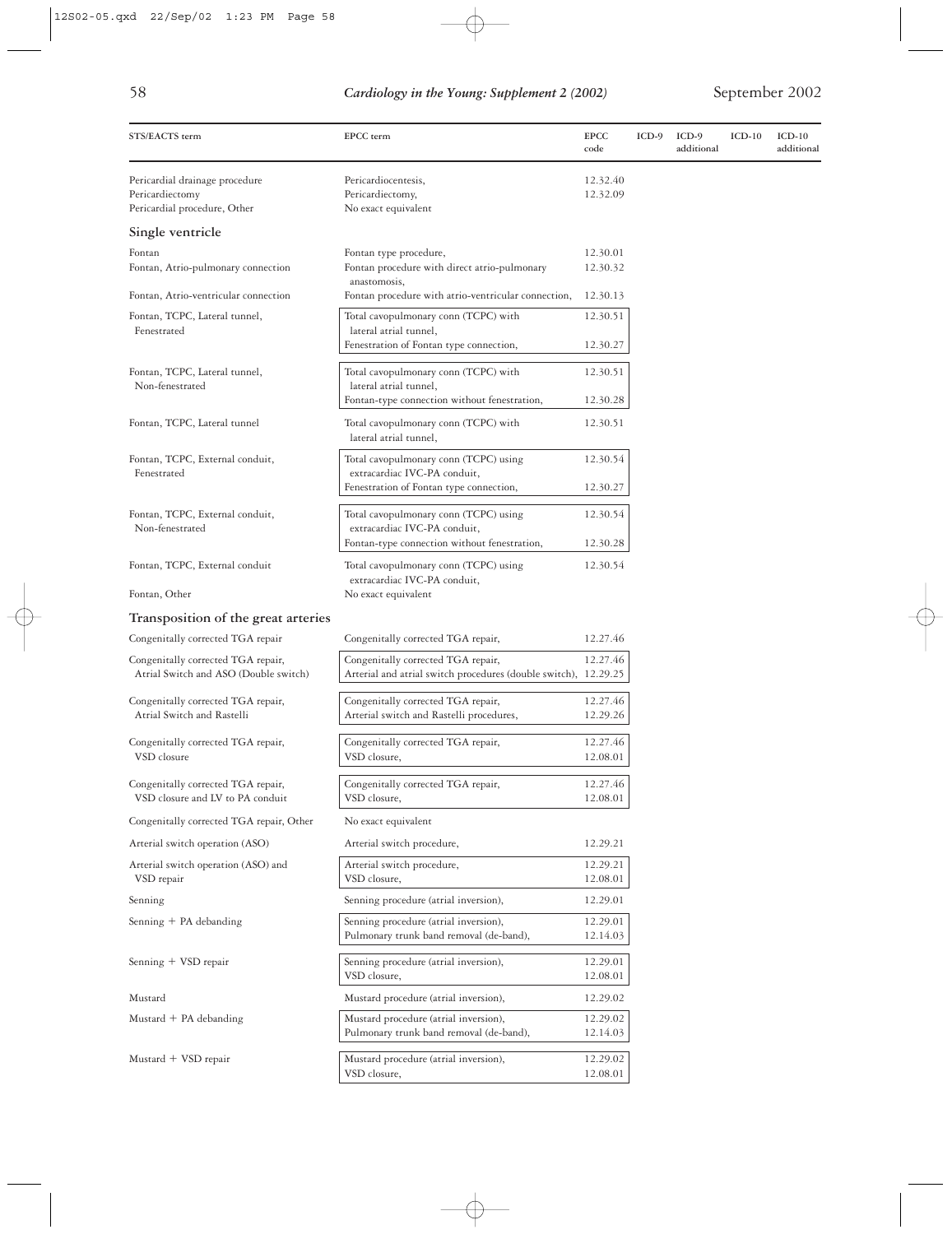| ×<br>×.                | ٠<br>ł,                 |
|------------------------|-------------------------|
| ×<br>I<br>I<br>۰,<br>٧ | ٠<br>۰.<br>×<br>×<br>۰. |

| STS/EACTS term                                                                    | EPCC term                                                                                                             | <b>EPCC</b><br>code  | $ICD-9$ | ICD-9<br>additional | $ICD-10$ | $ICD-10$<br>additional |
|-----------------------------------------------------------------------------------|-----------------------------------------------------------------------------------------------------------------------|----------------------|---------|---------------------|----------|------------------------|
| Pericardial drainage procedure<br>Pericardiectomy<br>Pericardial procedure, Other | Pericardiocentesis,<br>Pericardiectomy,<br>No exact equivalent                                                        | 12.32.40<br>12.32.09 |         |                     |          |                        |
| Single ventricle                                                                  |                                                                                                                       |                      |         |                     |          |                        |
| Fontan<br>Fontan, Atrio-pulmonary connection                                      | Fontan type procedure,<br>Fontan procedure with direct atrio-pulmonary<br>anastomosis,                                | 12.30.01<br>12.30.32 |         |                     |          |                        |
| Fontan, Atrio-ventricular connection                                              | Fontan procedure with atrio-ventricular connection,                                                                   | 12.30.13             |         |                     |          |                        |
| Fontan, TCPC, Lateral tunnel,<br>Fenestrated                                      | Total cavopulmonary conn (TCPC) with<br>lateral atrial tunnel,<br>Fenestration of Fontan type connection,             | 12.30.51<br>12.30.27 |         |                     |          |                        |
| Fontan, TCPC, Lateral tunnel,<br>Non-fenestrated                                  | Total cavopulmonary conn (TCPC) with<br>lateral atrial tunnel,                                                        | 12.30.51             |         |                     |          |                        |
|                                                                                   | Fontan-type connection without fenestration,                                                                          | 12.30.28             |         |                     |          |                        |
| Fontan, TCPC, Lateral tunnel                                                      | Total cavopulmonary conn (TCPC) with<br>lateral atrial tunnel,                                                        | 12.30.51             |         |                     |          |                        |
| Fontan, TCPC, External conduit,<br>Fenestrated                                    | Total cavopulmonary conn (TCPC) using<br>extracardiac IVC-PA conduit,                                                 | 12.30.54             |         |                     |          |                        |
|                                                                                   | Fenestration of Fontan type connection,                                                                               | 12.30.27             |         |                     |          |                        |
| Fontan, TCPC, External conduit,<br>Non-fenestrated                                | Total cavopulmonary conn (TCPC) using<br>extracardiac IVC-PA conduit,<br>Fontan-type connection without fenestration, | 12.30.54<br>12.30.28 |         |                     |          |                        |
| Fontan, TCPC, External conduit                                                    | Total cavopulmonary conn (TCPC) using<br>extracardiac IVC-PA conduit,                                                 | 12.30.54             |         |                     |          |                        |
| Fontan, Other                                                                     | No exact equivalent                                                                                                   |                      |         |                     |          |                        |
| Transposition of the great arteries                                               |                                                                                                                       |                      |         |                     |          |                        |
| Congenitally corrected TGA repair                                                 | Congenitally corrected TGA repair,                                                                                    | 12.27.46             |         |                     |          |                        |
| Congenitally corrected TGA repair,<br>Atrial Switch and ASO (Double switch)       | Congenitally corrected TGA repair,<br>Arterial and atrial switch procedures (double switch), 12.29.25                 | 12.27.46             |         |                     |          |                        |
| Congenitally corrected TGA repair,<br>Atrial Switch and Rastelli                  | Congenitally corrected TGA repair,<br>Arterial switch and Rastelli procedures,                                        | 12.27.46<br>12.29.26 |         |                     |          |                        |
| Congenitally corrected TGA repair,<br>VSD closure                                 | Congenitally corrected TGA repair,<br>VSD closure,                                                                    | 12.27.46<br>12.08.01 |         |                     |          |                        |
| Congenitally corrected TGA repair,<br>VSD closure and LV to PA conduit            | Congenitally corrected TGA repair,<br>VSD closure,                                                                    | 12.27.46<br>12.08.01 |         |                     |          |                        |
| Congenitally corrected TGA repair, Other                                          | No exact equivalent                                                                                                   |                      |         |                     |          |                        |
| Arterial switch operation (ASO)                                                   | Arterial switch procedure,                                                                                            | 12.29.21             |         |                     |          |                        |
| Arterial switch operation (ASO) and<br>VSD repair                                 | Arterial switch procedure,<br>VSD closure,                                                                            | 12.29.21<br>12.08.01 |         |                     |          |                        |
| Senning                                                                           | Senning procedure (atrial inversion),                                                                                 | 12.29.01             |         |                     |          |                        |
| Senning + PA debanding                                                            | Senning procedure (atrial inversion),<br>Pulmonary trunk band removal (de-band),                                      | 12.29.01<br>12.14.03 |         |                     |          |                        |
| Senning + VSD repair                                                              | Senning procedure (atrial inversion),<br>VSD closure,                                                                 | 12.29.01<br>12.08.01 |         |                     |          |                        |
| Mustard                                                                           | Mustard procedure (atrial inversion),                                                                                 | 12.29.02             |         |                     |          |                        |
| Mustard + PA debanding                                                            | Mustard procedure (atrial inversion),<br>Pulmonary trunk band removal (de-band),                                      | 12.29.02<br>12.14.03 |         |                     |          |                        |
| Mustard + VSD repair                                                              | Mustard procedure (atrial inversion),<br>VSD closure,                                                                 | 12.29.02<br>12.08.01 |         |                     |          |                        |

 $\phi$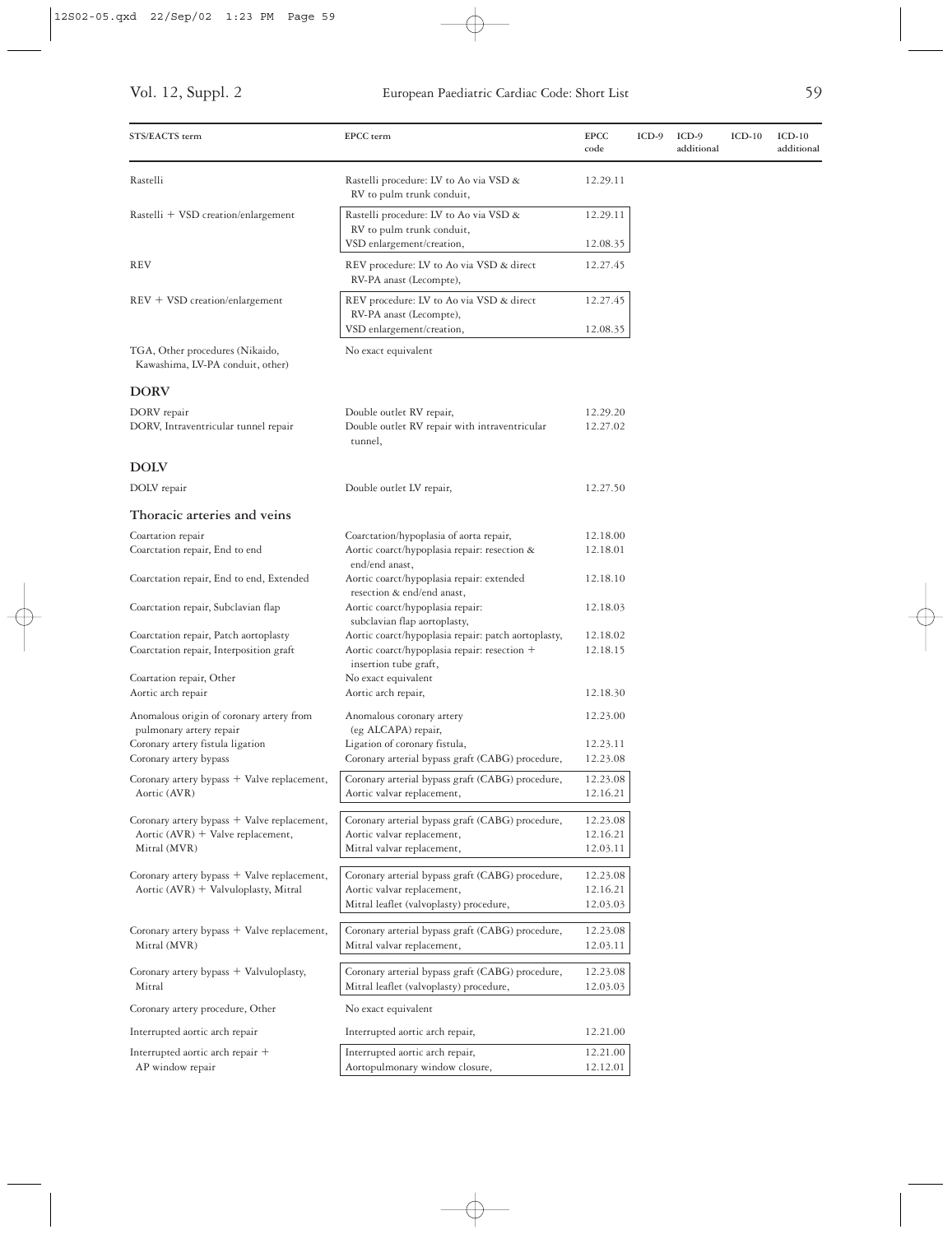| STS/EACTS term                                                                      | EPCC term                                                                                                                    | <b>EPCC</b><br>code  | $ICD-9$ | $ICD-9$<br>additional | $ICD-10$ | $ICD-10$<br>additional |
|-------------------------------------------------------------------------------------|------------------------------------------------------------------------------------------------------------------------------|----------------------|---------|-----------------------|----------|------------------------|
| Rastelli                                                                            | Rastelli procedure: LV to Ao via VSD &<br>RV to pulm trunk conduit,                                                          | 12.29.11             |         |                       |          |                        |
| Rastelli + VSD creation/enlargement                                                 | Rastelli procedure: LV to Ao via VSD &<br>RV to pulm trunk conduit,<br>VSD enlargement/creation,                             | 12.29.11<br>12.08.35 |         |                       |          |                        |
| <b>REV</b>                                                                          | REV procedure: LV to Ao via VSD & direct<br>RV-PA anast (Lecompte),                                                          | 12.27.45             |         |                       |          |                        |
| $REV + VSD$ creation/enlargement                                                    | REV procedure: LV to Ao via VSD & direct<br>RV-PA anast (Lecompte),<br>VSD enlargement/creation,                             | 12.27.45<br>12.08.35 |         |                       |          |                        |
| TGA, Other procedures (Nikaido,<br>Kawashima, LV-PA conduit, other)                 | No exact equivalent                                                                                                          |                      |         |                       |          |                        |
| <b>DORV</b>                                                                         |                                                                                                                              |                      |         |                       |          |                        |
| DORV repair<br>DORV, Intraventricular tunnel repair                                 | Double outlet RV repair,<br>Double outlet RV repair with intraventricular<br>tunnel,                                         | 12.29.20<br>12.27.02 |         |                       |          |                        |
| <b>DOLV</b>                                                                         |                                                                                                                              |                      |         |                       |          |                        |
| DOLV repair                                                                         | Double outlet LV repair,                                                                                                     | 12.27.50             |         |                       |          |                        |
| Thoracic arteries and veins                                                         |                                                                                                                              |                      |         |                       |          |                        |
| Coartation repair<br>Coarctation repair, End to end                                 | Coarctation/hypoplasia of aorta repair,<br>Aortic coarct/hypoplasia repair: resection &<br>end/end anast,                    | 12.18.00<br>12.18.01 |         |                       |          |                        |
| Coarctation repair, End to end, Extended                                            | Aortic coarct/hypoplasia repair: extended<br>resection & end/end anast,                                                      | 12.18.10             |         |                       |          |                        |
| Coarctation repair, Subclavian flap                                                 | Aortic coarct/hypoplasia repair:<br>subclavian flap aortoplasty,                                                             | 12.18.03             |         |                       |          |                        |
| Coarctation repair, Patch aortoplasty<br>Coarctation repair, Interposition graft    | Aortic coarct/hypoplasia repair: patch aortoplasty,<br>Aortic coarct/hypoplasia repair: resection +<br>insertion tube graft, | 12.18.02<br>12.18.15 |         |                       |          |                        |
| Coartation repair, Other<br>Aortic arch repair                                      | No exact equivalent<br>Aortic arch repair,                                                                                   | 12.18.30             |         |                       |          |                        |
| Anomalous origin of coronary artery from<br>pulmonary artery repair                 | Anomalous coronary artery<br>(eg ALCAPA) repair,                                                                             | 12.23.00             |         |                       |          |                        |
| Coronary artery fistula ligation                                                    | Ligation of coronary fistula,                                                                                                | 12.23.11             |         |                       |          |                        |
| Coronary artery bypass                                                              | Coronary arterial bypass graft (CABG) procedure,                                                                             | 12.23.08             |         |                       |          |                        |
| Coronary artery bypass + Valve replacement,<br>Aortic (AVR)                         | Coronary arterial bypass graft (CABG) procedure,<br>Aortic valvar replacement,                                               | 12.23.08<br>12.16.21 |         |                       |          |                        |
| Coronary artery bypass + Valve replacement,                                         | Coronary arterial bypass graft (CABG) procedure,                                                                             | 12.23.08             |         |                       |          |                        |
| Aortic (AVR) + Valve replacement,                                                   | Aortic valvar replacement,                                                                                                   | 12.16.21             |         |                       |          |                        |
| Mitral (MVR)                                                                        | Mitral valvar replacement,                                                                                                   | 12.03.11             |         |                       |          |                        |
| Coronary artery bypass + Valve replacement,<br>Aortic (AVR) + Valvuloplasty, Mitral | Coronary arterial bypass graft (CABG) procedure,<br>Aortic valvar replacement,                                               | 12.23.08<br>12.16.21 |         |                       |          |                        |
|                                                                                     | Mitral leaflet (valvoplasty) procedure,                                                                                      | 12.03.03             |         |                       |          |                        |
| Coronary artery bypass + Valve replacement,<br>Mitral (MVR)                         | Coronary arterial bypass graft (CABG) procedure,<br>Mitral valvar replacement,                                               | 12.23.08<br>12.03.11 |         |                       |          |                        |
| Coronary artery bypass + Valvuloplasty,<br>Mitral                                   | Coronary arterial bypass graft (CABG) procedure,<br>Mitral leaflet (valvoplasty) procedure,                                  | 12.23.08<br>12.03.03 |         |                       |          |                        |
| Coronary artery procedure, Other                                                    | No exact equivalent                                                                                                          |                      |         |                       |          |                        |
| Interrupted aortic arch repair                                                      | Interrupted aortic arch repair,                                                                                              | 12.21.00             |         |                       |          |                        |
| Interrupted aortic arch repair +<br>AP window repair                                | Interrupted aortic arch repair,<br>Aortopulmonary window closure,                                                            | 12.21.00<br>12.12.01 |         |                       |          |                        |

 $\bigoplus$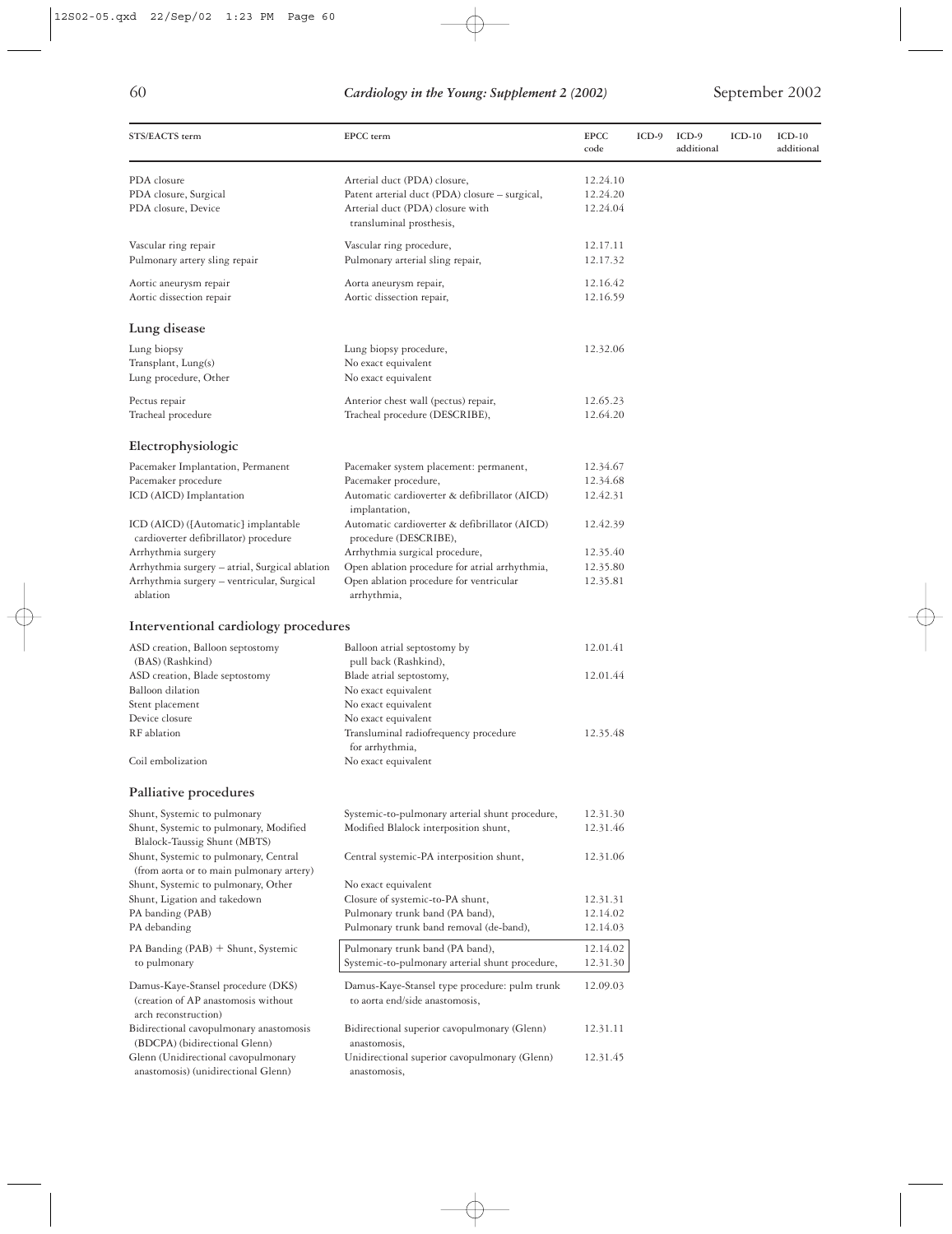| STS/EACTS term                                                                                                                 | EPCC term                                                                                                                                      | <b>EPCC</b><br>code              | $ICD-9$ | ICD-9<br>additional | $ICD-10$ | $ICD-10$<br>additional |
|--------------------------------------------------------------------------------------------------------------------------------|------------------------------------------------------------------------------------------------------------------------------------------------|----------------------------------|---------|---------------------|----------|------------------------|
| PDA closure<br>PDA closure, Surgical<br>PDA closure, Device                                                                    | Arterial duct (PDA) closure,<br>Patent arterial duct (PDA) closure - surgical,<br>Arterial duct (PDA) closure with<br>transluminal prosthesis, | 12.24.10<br>12.24.20<br>12.24.04 |         |                     |          |                        |
| Vascular ring repair<br>Pulmonary artery sling repair                                                                          | Vascular ring procedure,<br>Pulmonary arterial sling repair,                                                                                   | 12.17.11<br>12.17.32             |         |                     |          |                        |
| Aortic aneurysm repair<br>Aortic dissection repair                                                                             | Aorta aneurysm repair,<br>Aortic dissection repair,                                                                                            | 12.16.42<br>12.16.59             |         |                     |          |                        |
| Lung disease                                                                                                                   |                                                                                                                                                |                                  |         |                     |          |                        |
| Lung biopsy<br>Transplant, Lung(s)<br>Lung procedure, Other                                                                    | Lung biopsy procedure,<br>No exact equivalent<br>No exact equivalent                                                                           | 12.32.06                         |         |                     |          |                        |
| Pectus repair<br>Tracheal procedure                                                                                            | Anterior chest wall (pectus) repair,<br>Tracheal procedure (DESCRIBE),                                                                         | 12.65.23<br>12.64.20             |         |                     |          |                        |
| Electrophysiologic                                                                                                             |                                                                                                                                                |                                  |         |                     |          |                        |
| Pacemaker Implantation, Permanent<br>Pacemaker procedure<br>ICD (AICD) Implantation                                            | Pacemaker system placement: permanent,<br>Pacemaker procedure,<br>Automatic cardioverter & defibrillator (AICD)<br>implantation,               | 12.34.67<br>12.34.68<br>12.42.31 |         |                     |          |                        |
| ICD (AICD) ([Automatic] implantable<br>cardioverter defibrillator) procedure                                                   | Automatic cardioverter & defibrillator (AICD)<br>procedure (DESCRIBE),                                                                         | 12.42.39                         |         |                     |          |                        |
| Arrhythmia surgery<br>Arrhythmia surgery - atrial, Surgical ablation<br>Arrhythmia surgery - ventricular, Surgical<br>ablation | Arrhythmia surgical procedure,<br>Open ablation procedure for atrial arrhythmia,<br>Open ablation procedure for ventricular<br>arrhythmia,     | 12.35.40<br>12.35.80<br>12.35.81 |         |                     |          |                        |
| Interventional cardiology procedures                                                                                           |                                                                                                                                                |                                  |         |                     |          |                        |
| ASD creation, Balloon septostomy<br>(BAS) (Rashkind)                                                                           | Balloon atrial septostomy by<br>pull back (Rashkind),                                                                                          | 12.01.41                         |         |                     |          |                        |
| ASD creation, Blade septostomy<br><b>Balloon</b> dilation<br>Stent placement<br>Device closure                                 | Blade atrial septostomy,<br>No exact equivalent<br>No exact equivalent<br>No exact equivalent                                                  | 12.01.44                         |         |                     |          |                        |
| RF ablation<br>Coil embolization                                                                                               | Transluminal radiofrequency procedure<br>for arrhythmia,<br>No exact equivalent                                                                | 12.35.48                         |         |                     |          |                        |
|                                                                                                                                |                                                                                                                                                |                                  |         |                     |          |                        |
| Palliative procedures<br>Shunt, Systemic to pulmonary                                                                          | Systemic-to-pulmonary arterial shunt procedure,                                                                                                | 12.31.30                         |         |                     |          |                        |
| Shunt, Systemic to pulmonary, Modified<br>Blalock-Taussig Shunt (MBTS)                                                         | Modified Blalock interposition shunt,                                                                                                          | 12.31.46                         |         |                     |          |                        |
| Shunt, Systemic to pulmonary, Central<br>(from aorta or to main pulmonary artery)                                              | Central systemic-PA interposition shunt,                                                                                                       | 12.31.06                         |         |                     |          |                        |
| Shunt, Systemic to pulmonary, Other<br>Shunt, Ligation and takedown                                                            | No exact equivalent<br>Closure of systemic-to-PA shunt,                                                                                        | 12.31.31                         |         |                     |          |                        |
| PA banding (PAB)<br>PA debanding                                                                                               | Pulmonary trunk band (PA band),<br>Pulmonary trunk band removal (de-band),                                                                     | 12.14.02<br>12.14.03             |         |                     |          |                        |
| PA Banding (PAB) + Shunt, Systemic                                                                                             | Pulmonary trunk band (PA band),                                                                                                                | 12.14.02                         |         |                     |          |                        |
| to pulmonary                                                                                                                   | Systemic-to-pulmonary arterial shunt procedure,                                                                                                | 12.31.30                         |         |                     |          |                        |
| Damus-Kaye-Stansel procedure (DKS)<br>(creation of AP anastomosis without<br>arch reconstruction)                              | Damus-Kaye-Stansel type procedure: pulm trunk<br>to aorta end/side anastomosis,                                                                | 12.09.03                         |         |                     |          |                        |
| Bidirectional cavopulmonary anastomosis<br>(BDCPA) (bidirectional Glenn)                                                       | Bidirectional superior cavopulmonary (Glenn)<br>anastomosis,                                                                                   | 12.31.11                         |         |                     |          |                        |
| Glenn (Unidirectional cavopulmonary<br>anastomosis) (unidirectional Glenn)                                                     | Unidirectional superior cavopulmonary (Glenn)<br>anastomosis,                                                                                  | 12.31.45                         |         |                     |          |                        |

 $\oplus$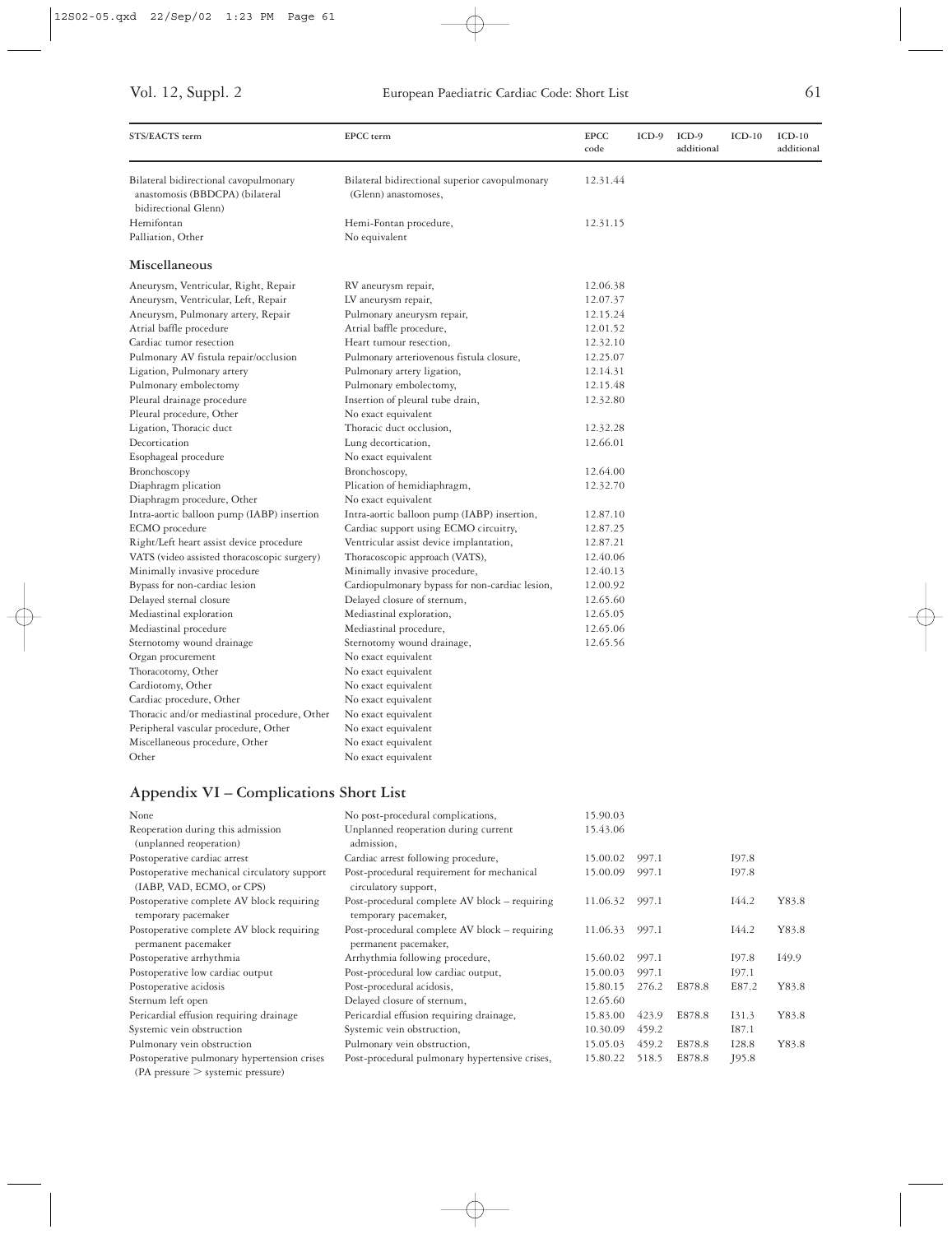| STS/EACTS term                                                                                   | EPCC term                                                              | <b>EPCC</b><br>code | $ICD-9$ | $ICD-9$<br>additional | $ICD-10$ | $ICD-10$<br>additional |
|--------------------------------------------------------------------------------------------------|------------------------------------------------------------------------|---------------------|---------|-----------------------|----------|------------------------|
| Bilateral bidirectional cavopulmonary<br>anastomosis (BBDCPA) (bilateral<br>bidirectional Glenn) | Bilateral bidirectional superior cavopulmonary<br>(Glenn) anastomoses, | 12.31.44            |         |                       |          |                        |
| Hemifontan<br>Palliation, Other                                                                  | Hemi-Fontan procedure,<br>No equivalent                                | 12.31.15            |         |                       |          |                        |
| Miscellaneous                                                                                    |                                                                        |                     |         |                       |          |                        |
| Aneurysm, Ventricular, Right, Repair                                                             | RV aneurysm repair,                                                    | 12.06.38            |         |                       |          |                        |
| Aneurysm, Ventricular, Left, Repair                                                              | LV aneurysm repair,                                                    | 12.07.37            |         |                       |          |                        |
| Aneurysm, Pulmonary artery, Repair                                                               | Pulmonary aneurysm repair,                                             | 12.15.24            |         |                       |          |                        |
| Atrial baffle procedure                                                                          | Atrial baffle procedure,                                               | 12.01.52            |         |                       |          |                        |
| Cardiac tumor resection                                                                          | Heart tumour resection,                                                | 12.32.10            |         |                       |          |                        |
| Pulmonary AV fistula repair/occlusion                                                            | Pulmonary arteriovenous fistula closure,                               | 12.25.07            |         |                       |          |                        |
| Ligation, Pulmonary artery                                                                       | Pulmonary artery ligation,                                             | 12.14.31            |         |                       |          |                        |
| Pulmonary embolectomy                                                                            | Pulmonary embolectomy,                                                 | 12.15.48            |         |                       |          |                        |
| Pleural drainage procedure                                                                       | Insertion of pleural tube drain,                                       | 12.32.80            |         |                       |          |                        |
| Pleural procedure, Other                                                                         | No exact equivalent                                                    |                     |         |                       |          |                        |
| Ligation, Thoracic duct                                                                          | Thoracic duct occlusion,                                               | 12.32.28            |         |                       |          |                        |
| Decortication                                                                                    | Lung decortication,                                                    | 12.66.01            |         |                       |          |                        |
| Esophageal procedure                                                                             | No exact equivalent                                                    |                     |         |                       |          |                        |
| Bronchoscopy                                                                                     | Bronchoscopy,                                                          | 12.64.00            |         |                       |          |                        |
| Diaphragm plication                                                                              | Plication of hemidiaphragm,                                            | 12.32.70            |         |                       |          |                        |
| Diaphragm procedure, Other                                                                       | No exact equivalent                                                    |                     |         |                       |          |                        |
| Intra-aortic balloon pump (IABP) insertion                                                       | Intra-aortic balloon pump (IABP) insertion,                            | 12.87.10            |         |                       |          |                        |
| ECMO procedure                                                                                   | Cardiac support using ECMO circuitry,                                  | 12.87.25            |         |                       |          |                        |
| Right/Left heart assist device procedure                                                         | Ventricular assist device implantation,                                | 12.87.21            |         |                       |          |                        |
| VATS (video assisted thoracoscopic surgery)                                                      | Thoracoscopic approach (VATS),                                         | 12.40.06            |         |                       |          |                        |
| Minimally invasive procedure                                                                     | Minimally invasive procedure,                                          | 12.40.13            |         |                       |          |                        |
| Bypass for non-cardiac lesion                                                                    | Cardiopulmonary bypass for non-cardiac lesion,                         | 12.00.92            |         |                       |          |                        |
| Delayed sternal closure                                                                          | Delayed closure of sternum,                                            | 12.65.60            |         |                       |          |                        |
| Mediastinal exploration                                                                          | Mediastinal exploration,                                               | 12.65.05            |         |                       |          |                        |
| Mediastinal procedure                                                                            | Mediastinal procedure,                                                 | 12.65.06            |         |                       |          |                        |
| Sternotomy wound drainage                                                                        | Sternotomy wound drainage,                                             | 12.65.56            |         |                       |          |                        |
| Organ procurement                                                                                | No exact equivalent                                                    |                     |         |                       |          |                        |
| Thoracotomy, Other                                                                               | No exact equivalent                                                    |                     |         |                       |          |                        |
| Cardiotomy, Other                                                                                | No exact equivalent                                                    |                     |         |                       |          |                        |
| Cardiac procedure, Other                                                                         | No exact equivalent                                                    |                     |         |                       |          |                        |
| Thoracic and/or mediastinal procedure, Other                                                     | No exact equivalent                                                    |                     |         |                       |          |                        |
| Peripheral vascular procedure, Other                                                             | No exact equivalent                                                    |                     |         |                       |          |                        |
| Miscellaneous procedure, Other                                                                   | No exact equivalent                                                    |                     |         |                       |          |                        |
| Other                                                                                            | No exact equivalent                                                    |                     |         |                       |          |                        |
|                                                                                                  |                                                                        |                     |         |                       |          |                        |

### **Appendix VI – Complications Short List**

| None                                                                             | No post-procedural complications,                                     | 15.90.03 |       |        |       |       |
|----------------------------------------------------------------------------------|-----------------------------------------------------------------------|----------|-------|--------|-------|-------|
| Reoperation during this admission<br>(unplanned reoperation)                     | Unplanned reoperation during current<br>admission,                    | 15.43.06 |       |        |       |       |
| Postoperative cardiac arrest                                                     | Cardiac arrest following procedure,                                   | 15.00.02 | 997.1 |        | I97.8 |       |
| Postoperative mechanical circulatory support<br>(IABP, VAD, ECMO, or CPS)        | Post-procedural requirement for mechanical<br>circulatory support,    | 15.00.09 | 997.1 |        | I97.8 |       |
| Postoperative complete AV block requiring<br>temporary pacemaker                 | Post-procedural complete AV block – requiring<br>temporary pacemaker, | 11.06.32 | 997.1 |        | I44.2 | Y83.8 |
| Postoperative complete AV block requiring<br>permanent pacemaker                 | Post-procedural complete AV block - requiring<br>permanent pacemaker, | 11.06.33 | 997.1 |        | I44.2 | Y83.8 |
| Postoperative arrhythmia                                                         | Arrhythmia following procedure,                                       | 15.60.02 | 997.1 |        | 197.8 | I49.9 |
| Postoperative low cardiac output                                                 | Post-procedural low cardiac output,                                   | 15.00.03 | 997.1 |        | I97.1 |       |
| Postoperative acidosis                                                           | Post-procedural acidosis,                                             | 15.80.15 | 276.2 | E878.8 | E87.2 | Y83.8 |
| Sternum left open                                                                | Delayed closure of sternum,                                           | 12.65.60 |       |        |       |       |
| Pericardial effusion requiring drainage                                          | Pericardial effusion requiring drainage,                              | 15.83.00 | 423.9 | E878.8 | I31.3 | Y83.8 |
| Systemic vein obstruction                                                        | Systemic vein obstruction,                                            | 10.30.09 | 459.2 |        | I87.1 |       |
| Pulmonary vein obstruction                                                       | Pulmonary vein obstruction,                                           | 15.05.03 | 459.2 | E878.8 | I28.8 | Y83.8 |
| Postoperative pulmonary hypertension crises<br>(PA pressure > systemic pressure) | Post-procedural pulmonary hypertensive crises,                        | 15.80.22 | 518.5 | E878.8 | J95.8 |       |